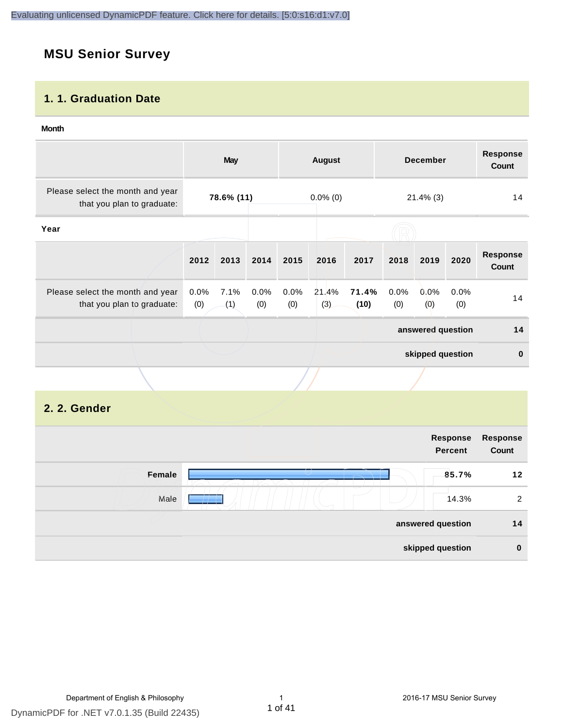## **MSU Senior Survey**

#### **1. 1. Graduation Date**

#### **Month**

|                                                                |                | <b>May</b>  |                |                | <b>August</b> |               |                | <b>December</b>   |             | <b>Response</b><br>Count |
|----------------------------------------------------------------|----------------|-------------|----------------|----------------|---------------|---------------|----------------|-------------------|-------------|--------------------------|
| Please select the month and year<br>that you plan to graduate: |                | 78.6% (11)  |                |                | $0.0\%$ (0)   |               |                | $21.4\%$ (3)      |             | 14                       |
| Year                                                           |                |             |                |                |               |               |                |                   |             |                          |
|                                                                | 2012           | 2013        | 2014           | 2015           | 2016          | 2017          | 2018           | 2019              | 2020        | <b>Response</b><br>Count |
| Please select the month and year<br>that you plan to graduate: | $0.0\%$<br>(0) | 7.1%<br>(1) | $0.0\%$<br>(0) | $0.0\%$<br>(0) | 21.4%<br>(3)  | 71.4%<br>(10) | $0.0\%$<br>(0) | 0.0%<br>(0)       | 0.0%<br>(0) | 14                       |
|                                                                |                |             |                |                |               |               |                | answered question |             | 14                       |
|                                                                |                |             |                |                |               |               |                | skipped question  |             | $\mathbf{0}$             |
|                                                                |                |             |                |                |               |               |                |                   |             |                          |

#### **2. 2. Gender**

| <b>Response</b><br>Count | Response<br><b>Percent</b> |        |
|--------------------------|----------------------------|--------|
| 12                       | 85.7%                      | Female |
| 2                        | 14.3%                      | Male   |
| 14                       | answered question          |        |
| $\mathbf 0$              | skipped question           |        |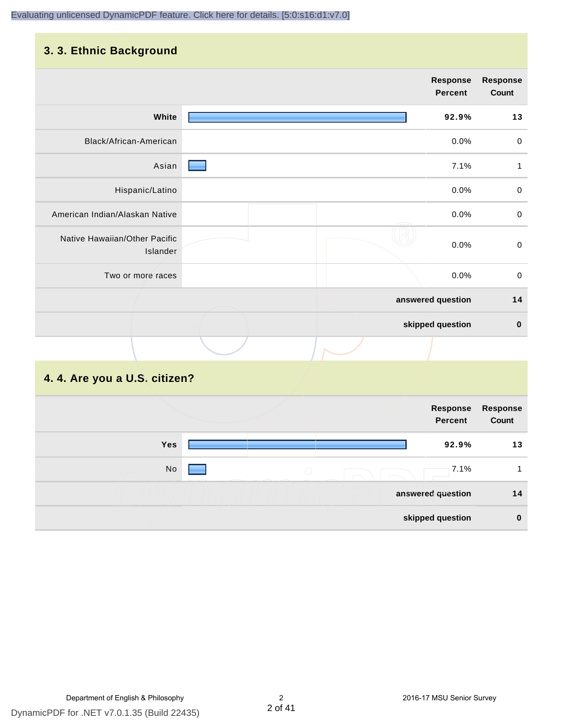## **3. 3. Ethnic Background**

|                                           | <b>Response</b><br><b>Percent</b> | <b>Response</b><br>Count |
|-------------------------------------------|-----------------------------------|--------------------------|
| White                                     | 92.9%                             | 13                       |
| Black/African-American                    | 0.0%                              | $\mathbf 0$              |
| Asian                                     | 7.1%                              | 1                        |
| Hispanic/Latino                           | 0.0%                              | $\pmb{0}$                |
| American Indian/Alaskan Native            | 0.0%                              | $\pmb{0}$                |
| Native Hawaiian/Other Pacific<br>Islander | 0.0%                              | $\pmb{0}$                |
| Two or more races                         | 0.0%                              | $\pmb{0}$                |
|                                           | answered question                 | 14                       |
|                                           | skipped question                  | $\mathbf 0$              |
|                                           |                                   |                          |

#### **4. 4. Are you a U.S. citizen?**

|            |            | Response<br><b>Percent</b> | Response<br>Count |
|------------|------------|----------------------------|-------------------|
| <b>Yes</b> |            | 92.9%                      | 13                |
| No         | $\bigcirc$ | 7.1%                       |                   |
|            |            | answered question          | 14                |
|            |            | skipped question           | $\mathbf 0$       |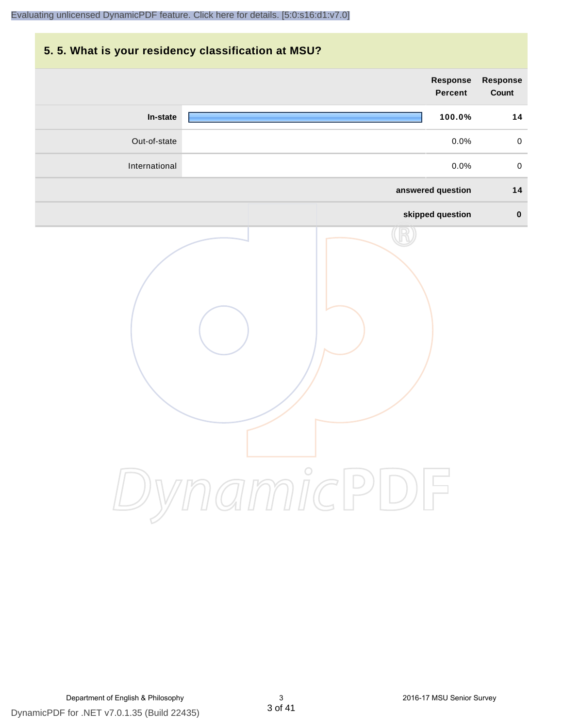## **5. 5. What is your residency classification at MSU?**

|               | Response<br><b>Percent</b> | <b>Response</b><br>Count |
|---------------|----------------------------|--------------------------|
| In-state      | 100.0%                     | 14                       |
| Out-of-state  | 0.0%                       | $\pmb{0}$                |
| International | 0.0%                       | $\pmb{0}$                |
|               | answered question          | 14                       |
|               | skipped question           | $\pmb{0}$                |
|               | ynamicPD                   |                          |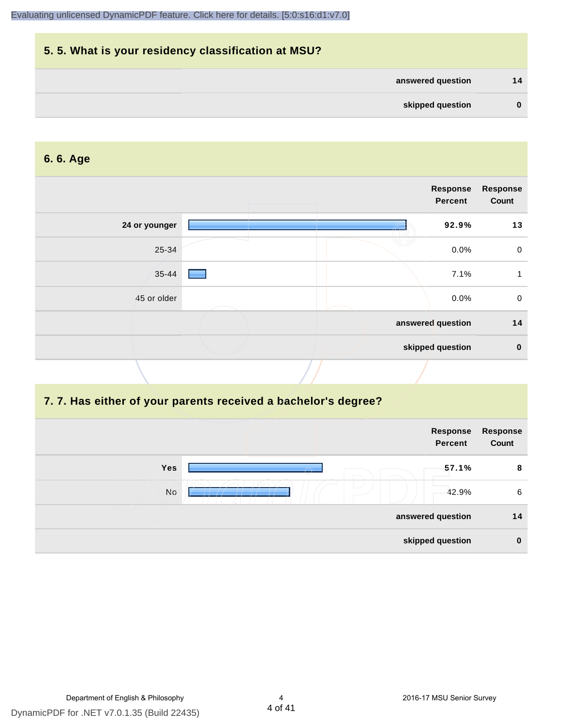## **5. 5. What is your residency classification at MSU? answered question 14 skipped question 0**

#### **6. 6. Age**

|               | <b>Response</b><br><b>Percent</b> | <b>Response</b><br>Count |
|---------------|-----------------------------------|--------------------------|
| 24 or younger | 92.9%                             | 13                       |
| 25-34         | 0.0%                              | $\mathbf 0$              |
| $35 - 44$     | 7.1%<br>L.                        | 1                        |
| 45 or older   | 0.0%                              | $\mathbf 0$              |
|               | answered question                 | 14                       |
|               | skipped question                  | $\mathbf 0$              |
|               |                                   |                          |

#### **7. 7. Has either of your parents received a bachelor's degree?**

| Response<br>Count | Response<br><b>Percent</b> |                                |            |  |
|-------------------|----------------------------|--------------------------------|------------|--|
| 8                 | 57.1%                      | $\curvearrowright$<br>$\smile$ | <b>Yes</b> |  |
| 6                 | 42.9%                      |                                | <b>No</b>  |  |
| 14                | answered question          |                                |            |  |
| $\mathbf{0}$      | skipped question           |                                |            |  |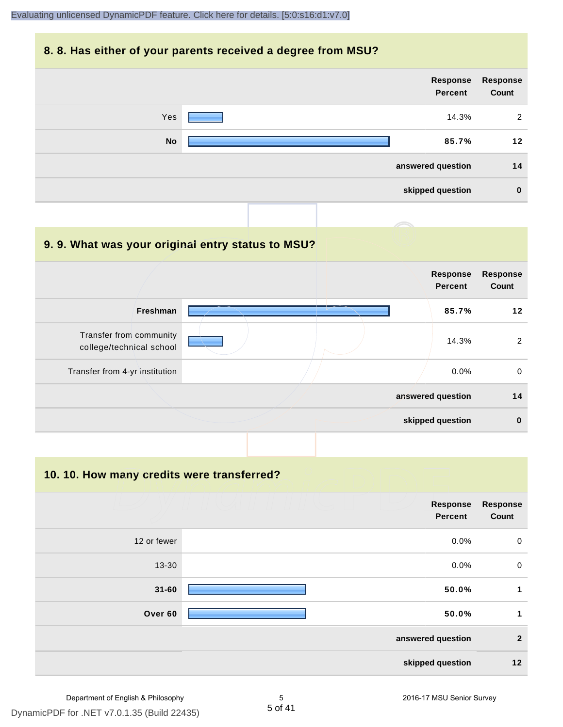#### **8. 8. Has either of your parents received a degree from MSU?**

|           | Response<br><b>Percent</b> | Response<br>Count |
|-----------|----------------------------|-------------------|
| Yes       | 14.3%                      | 2                 |
| <b>No</b> | 85.7%                      | 12                |
|           | answered question          | 14                |
|           | skipped question           | $\mathbf 0$       |

#### **9. 9. What was your original entry status to MSU?**

|                                                     |  | <b>Response</b><br><b>Percent</b> | <b>Response</b><br>Count |
|-----------------------------------------------------|--|-----------------------------------|--------------------------|
| Freshman                                            |  | 85.7%                             | 12                       |
| Transfer from community<br>college/technical school |  | 14.3%                             | 2                        |
| Transfer from 4-yr institution                      |  | $0.0\%$                           | $\mathbf 0$              |
|                                                     |  | answered question                 | 14                       |
|                                                     |  | skipped question                  | $\bf{0}$                 |

**10. 10. How many credits were transferred?**

|             | <b>Response</b><br><b>Percent</b> | Response<br>Count |
|-------------|-----------------------------------|-------------------|
| 12 or fewer | 0.0%                              | $\overline{0}$    |
| 13-30       | 0.0%                              | $\overline{0}$    |
| $31 - 60$   | 50.0%                             | 1                 |
| Over 60     | 50.0%                             | 1                 |
|             | answered question                 | $\overline{2}$    |
|             | skipped question                  | 12                |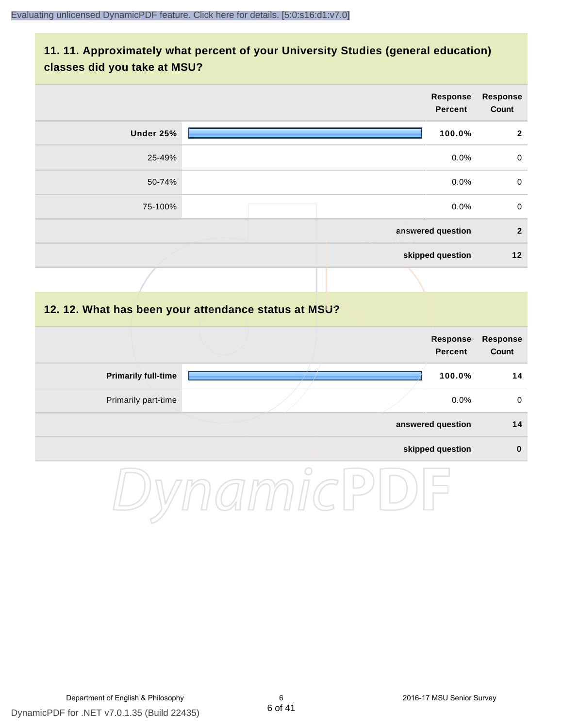#### **11. 11. Approximately what percent of your University Studies (general education) classes did you take at MSU?**

|           | Response<br><b>Percent</b> | <b>Response</b><br>Count |
|-----------|----------------------------|--------------------------|
| Under 25% | 100.0%                     | $\overline{2}$           |
| 25-49%    | 0.0%                       | $\mathbf 0$              |
| 50-74%    | 0.0%                       | $\mathbf 0$              |
| 75-100%   | 0.0%                       | $\mathbf 0$              |
|           | answered question          | $\overline{2}$           |
|           | skipped question           | 12                       |
|           |                            |                          |

#### **12. 12. What has been your attendance status at MSU?**

|                            |  | <b>Response</b><br><b>Percent</b> | Response<br>Count |
|----------------------------|--|-----------------------------------|-------------------|
| <b>Primarily full-time</b> |  | 100.0%                            | 14                |
| Primarily part-time        |  | $0.0\%$                           | 0                 |
|                            |  | answered question                 | 14                |
|                            |  | skipped question                  | $\bf{0}$          |

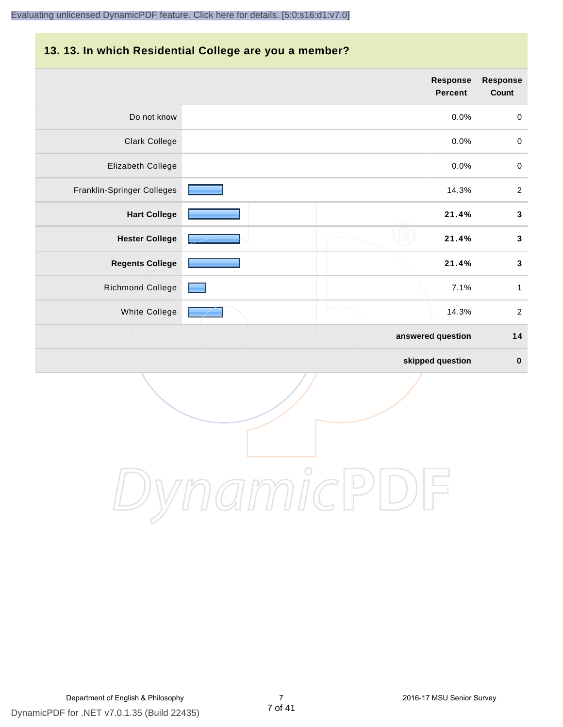## **13. 13. In which Residential College are you a member?**

|                            | <b>Response</b><br><b>Percent</b> | <b>Response</b><br><b>Count</b> |
|----------------------------|-----------------------------------|---------------------------------|
| Do not know                | 0.0%                              | $\mathbf 0$                     |
| <b>Clark College</b>       | 0.0%                              | $\pmb{0}$                       |
| Elizabeth College          | 0.0%                              | $\pmb{0}$                       |
| Franklin-Springer Colleges | 14.3%                             | $\overline{2}$                  |
| <b>Hart College</b>        | 21.4%                             | $\mathbf 3$                     |
| <b>Hester College</b>      | 21.4%                             | $\mathbf 3$                     |
| <b>Regents College</b>     | 21.4%                             | $\mathbf 3$                     |
| Richmond College           | 7.1%                              | $\mathbf{1}$                    |
| <b>White College</b>       | 14.3%                             | $\overline{2}$                  |
|                            | answered question                 | 14                              |
|                            | skipped question                  | $\bf{0}$                        |

DynamicPDF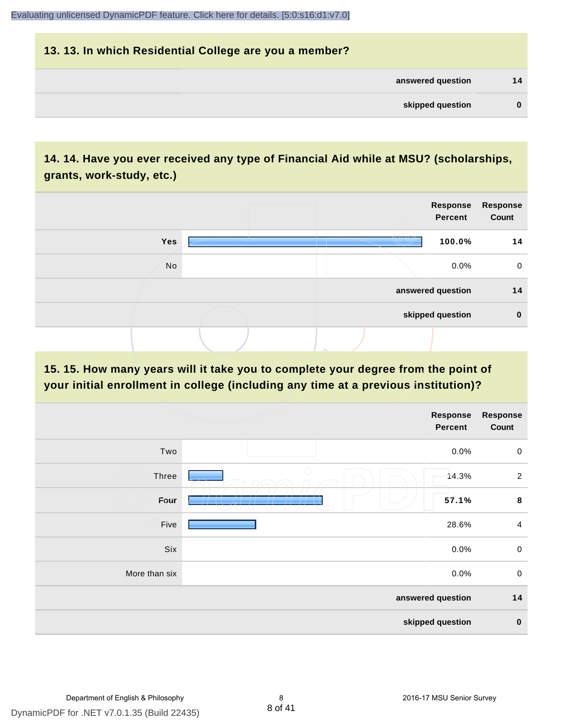# **13. 13. In which Residential College are you a member? answered question 14 skipped question 0**

## **14. 14. Have you ever received any type of Financial Aid while at MSU? (scholarships, grants, work-study, etc.)**



**15. 15. How many years will it take you to complete your degree from the point of your initial enrollment in college (including any time at a previous institution)?**

|               | Response<br><b>Percent</b>                                  | <b>Response</b><br>Count |
|---------------|-------------------------------------------------------------|--------------------------|
| Two           | 0.0%                                                        | $\mathsf 0$              |
| Three         | 14.3%                                                       | $\overline{2}$           |
| Four          | 57.1%<br>--<br>$\overline{\phantom{0}}$<br>$\sqrt{1 +  x }$ | $\bf8$                   |
| Five          | 28.6%                                                       | $\overline{4}$           |
| Six           | 0.0%                                                        | $\mathsf 0$              |
| More than six | 0.0%                                                        | $\mathsf 0$              |
|               | answered question                                           | $14$                     |
|               | skipped question                                            | $\pmb{0}$                |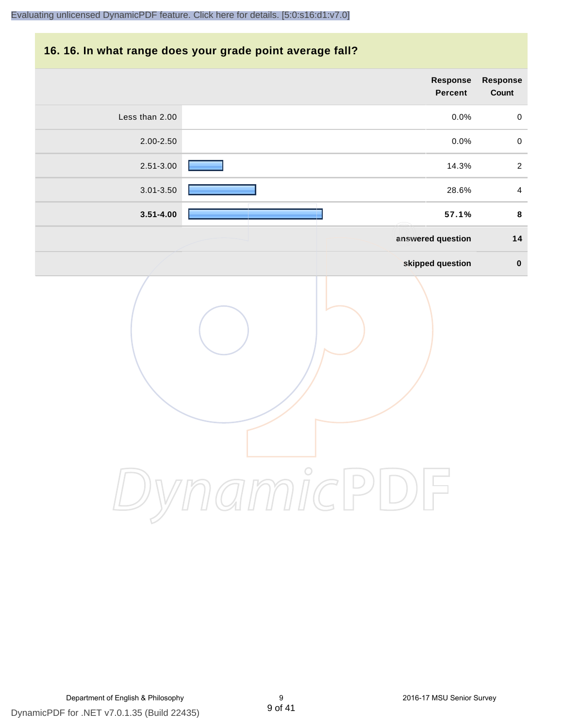## **16. 16. In what range does your grade point average fall?**

|                        | Response<br><b>Percent</b> | Response<br>Count       |
|------------------------|----------------------------|-------------------------|
| Less than 2.00         | 0.0%                       | $\pmb{0}$               |
| 2.00-2.50              | 0.0%                       | $\mathbf 0$             |
| 2.51-3.00              | 14.3%                      | $\overline{2}$          |
| 3.01-3.50              | 28.6%                      | $\overline{\mathbf{4}}$ |
| $3.51 - 4.00$          | 57.1%                      | $\bf 8$                 |
|                        | answered question          | 14                      |
|                        | skipped question           | $\mathbf 0$             |
| amicP<br>$\mathcal{L}$ |                            |                         |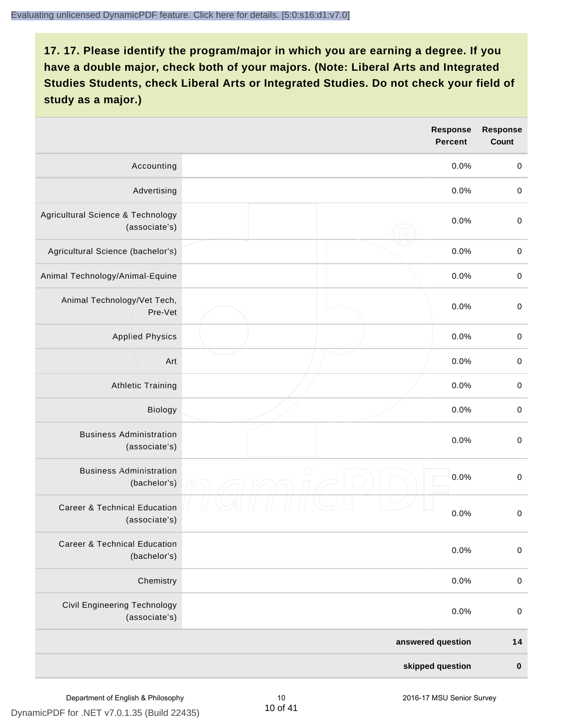|                                                          | <b>Response</b><br><b>Percent</b> | <b>Response</b><br><b>Count</b> |
|----------------------------------------------------------|-----------------------------------|---------------------------------|
| Accounting                                               | 0.0%                              | $\pmb{0}$                       |
| Advertising                                              | 0.0%                              | $\boldsymbol{0}$                |
| Agricultural Science & Technology<br>(associate's)       | 0.0%                              | $\boldsymbol{0}$                |
| Agricultural Science (bachelor's)                        | 0.0%                              | $\boldsymbol{0}$                |
| Animal Technology/Animal-Equine                          | 0.0%                              | $\mathbf 0$                     |
| Animal Technology/Vet Tech,<br>Pre-Vet                   | 0.0%                              | $\mathbf 0$                     |
| <b>Applied Physics</b>                                   | 0.0%                              | $\pmb{0}$                       |
| Art                                                      | 0.0%                              | $\pmb{0}$                       |
| <b>Athletic Training</b>                                 | 0.0%                              | $\pmb{0}$                       |
| Biology                                                  | 0.0%                              | $\pmb{0}$                       |
| <b>Business Administration</b><br>(associate's)          | 0.0%                              | $\boldsymbol{0}$                |
| <b>Business Administration</b><br>(bachelor's)           | $\bigcirc$<br>0.0%                | $\boldsymbol{0}$                |
| <b>Career &amp; Technical Education</b><br>(associate's) | 0.0%                              | $\pmb{0}$                       |
| <b>Career &amp; Technical Education</b><br>(bachelor's)  | 0.0%                              | $\mathbf 0$                     |
| Chemistry                                                | 0.0%                              | $\pmb{0}$                       |
| Civil Engineering Technology<br>(associate's)            | 0.0%                              | $\pmb{0}$                       |
|                                                          | answered question                 | $14$                            |
|                                                          | skipped question                  | $\pmb{0}$                       |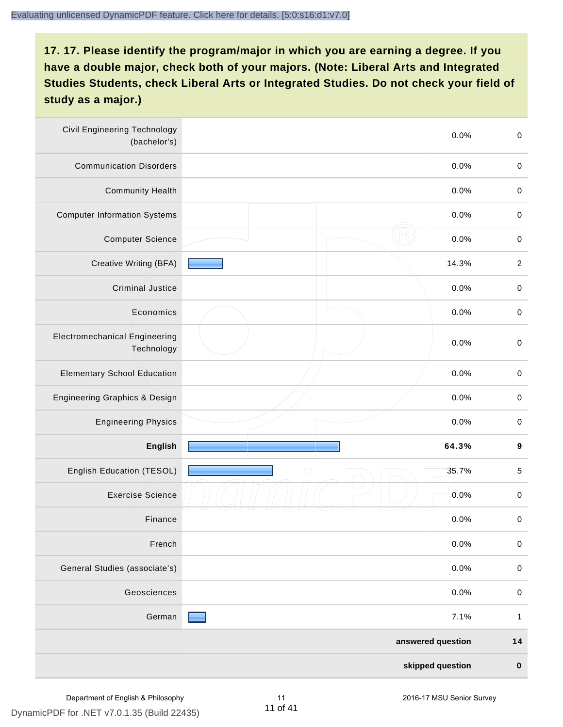| <b>Civil Engineering Technology</b><br>(bachelor's) | 0.0%                | $\mathbf 0$      |
|-----------------------------------------------------|---------------------|------------------|
| <b>Communication Disorders</b>                      | 0.0%                | $\pmb{0}$        |
| <b>Community Health</b>                             | 0.0%                | $\pmb{0}$        |
| <b>Computer Information Systems</b>                 | 0.0%                | $\pmb{0}$        |
| <b>Computer Science</b>                             | 0.0%                | $\pmb{0}$        |
| Creative Writing (BFA)                              | 14.3%               | $\sqrt{2}$       |
| <b>Criminal Justice</b>                             | 0.0%                | $\mathbf 0$      |
| Economics                                           | 0.0%                | $\pmb{0}$        |
| <b>Electromechanical Engineering</b><br>Technology  | 0.0%                | $\mathbf 0$      |
| <b>Elementary School Education</b>                  | 0.0%                | $\boldsymbol{0}$ |
| Engineering Graphics & Design                       | 0.0%                | $\pmb{0}$        |
| <b>Engineering Physics</b>                          | 0.0%                | $\pmb{0}$        |
| English                                             | 64.3%               | $\boldsymbol{9}$ |
| English Education (TESOL)                           | 35.7%<br>$\bigcirc$ | $\,$ 5 $\,$      |
| <b>Exercise Science</b>                             | 0.0%                | $\pmb{0}$        |
| Finance                                             | 0.0%                | $\,0\,$          |
| French                                              | 0.0%                | $\,0\,$          |
| General Studies (associate's)                       | 0.0%                | $\pmb{0}$        |
| Geosciences                                         | 0.0%                | $\mathbf 0$      |
| German                                              | 7.1%                | $\mathbf{1}$     |
|                                                     | answered question   | 14               |
|                                                     | skipped question    | $\pmb{0}$        |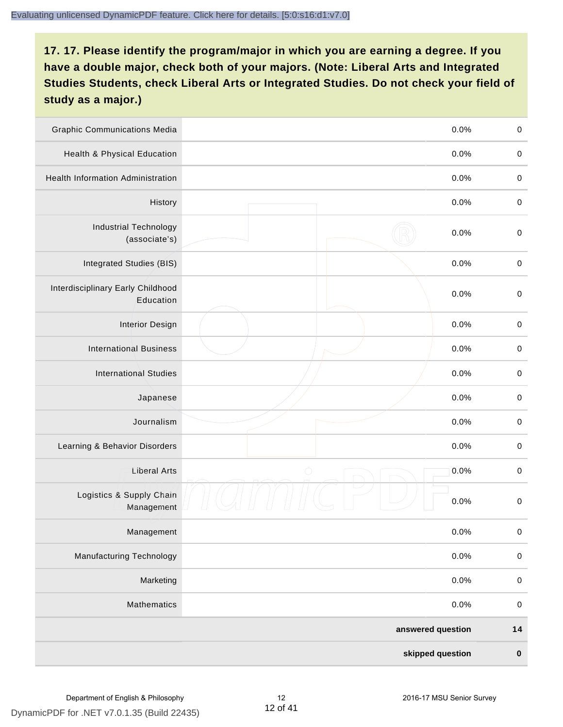| <b>Graphic Communications Media</b>            | 0.0%               | $\boldsymbol{0}$ |
|------------------------------------------------|--------------------|------------------|
| Health & Physical Education                    | 0.0%               | $\pmb{0}$        |
| <b>Health Information Administration</b>       | 0.0%               | $\boldsymbol{0}$ |
| History                                        | 0.0%               | $\pmb{0}$        |
| <b>Industrial Technology</b><br>(associate's)  | 0.0%               | $\boldsymbol{0}$ |
| Integrated Studies (BIS)                       | 0.0%               | $\boldsymbol{0}$ |
| Interdisciplinary Early Childhood<br>Education | 0.0%               | $\boldsymbol{0}$ |
| <b>Interior Design</b>                         | 0.0%               | $\boldsymbol{0}$ |
| <b>International Business</b>                  | 0.0%               | $\boldsymbol{0}$ |
| <b>International Studies</b>                   | 0.0%               | $\mathbf 0$      |
| Japanese                                       | 0.0%               | $\boldsymbol{0}$ |
| Journalism                                     | 0.0%               | $\boldsymbol{0}$ |
| Learning & Behavior Disorders                  | 0.0%               | $\boldsymbol{0}$ |
| <b>Liberal Arts</b>                            | $\bigcirc$<br>0.0% | $\pmb{0}$        |
| Logistics & Supply Chain<br>Management         | 0.0%               | $\boldsymbol{0}$ |
| Management                                     | 0.0%               | 0                |
| <b>Manufacturing Technology</b>                | 0.0%               | $\mathbf 0$      |
| Marketing                                      | 0.0%               | $\boldsymbol{0}$ |
| Mathematics                                    | 0.0%               | $\pmb{0}$        |
|                                                | answered question  | $14$             |
|                                                | skipped question   | $\pmb{0}$        |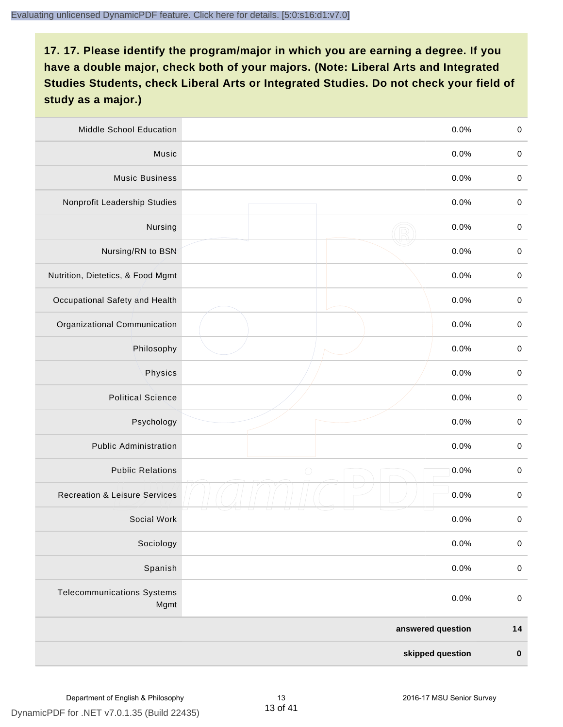| Middle School Education                   | 0.0%               | $\boldsymbol{0}$ |
|-------------------------------------------|--------------------|------------------|
| Music                                     | 0.0%               | $\pmb{0}$        |
| <b>Music Business</b>                     | 0.0%               | $\pmb{0}$        |
| Nonprofit Leadership Studies              | 0.0%               | $\pmb{0}$        |
| Nursing                                   | 0.0%               | $\boldsymbol{0}$ |
| Nursing/RN to BSN                         | 0.0%               | $\boldsymbol{0}$ |
| Nutrition, Dietetics, & Food Mgmt         | 0.0%               | $\boldsymbol{0}$ |
| Occupational Safety and Health            | 0.0%               | $\boldsymbol{0}$ |
| Organizational Communication              | 0.0%               | $\pmb{0}$        |
| Philosophy                                | 0.0%               | $\pmb{0}$        |
| Physics                                   | 0.0%               | $\boldsymbol{0}$ |
| <b>Political Science</b>                  | 0.0%               | $\boldsymbol{0}$ |
| Psychology                                | 0.0%               | $\boldsymbol{0}$ |
| <b>Public Administration</b>              | 0.0%               | $\boldsymbol{0}$ |
| <b>Public Relations</b>                   | $\bigcirc$<br>0.0% | $\boldsymbol{0}$ |
| <b>Recreation &amp; Leisure Services</b>  | 0.0%               | $\pmb{0}$        |
| Social Work                               | 0.0%               | $\pmb{0}$        |
| Sociology                                 | 0.0%               | $\boldsymbol{0}$ |
| Spanish                                   | 0.0%               | $\mathbf 0$      |
| <b>Telecommunications Systems</b><br>Mgmt | 0.0%               | $\boldsymbol{0}$ |
|                                           | answered question  | $14$             |
|                                           | skipped question   | $\pmb{0}$        |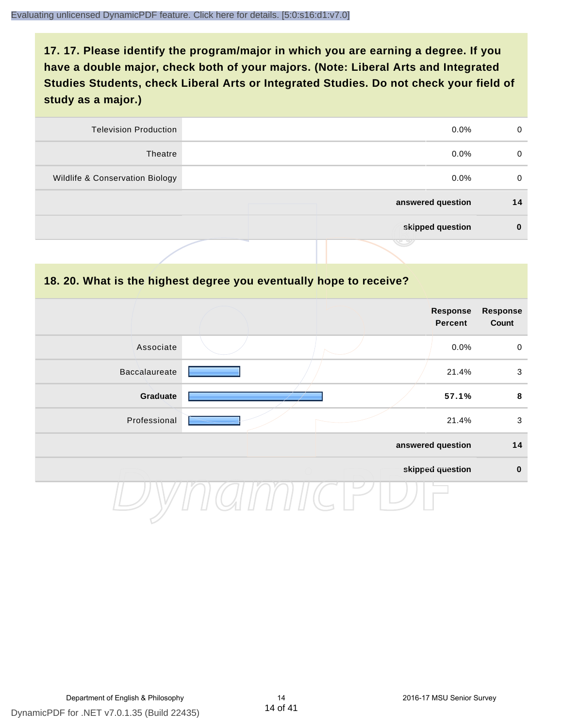| <b>Television Production</b>    | $0.0\%$           | 0        |
|---------------------------------|-------------------|----------|
| Theatre                         | $0.0\%$           | $\Omega$ |
| Wildlife & Conservation Biology | $0.0\%$           | 0        |
|                                 | answered question | 14       |
|                                 | skipped question  | 0        |
|                                 | <u>ترسنی</u>      |          |

#### **18. 20. What is the highest degree you eventually hope to receive?**

|               |  | <b>Response</b><br><b>Percent</b> | <b>Response</b><br>Count |
|---------------|--|-----------------------------------|--------------------------|
| Associate     |  | 0.0%                              | $\mathsf 0$              |
| Baccalaureate |  | 21.4%                             | $\mathfrak{S}$           |
| Graduate      |  | 57.1%                             | 8                        |
| Professional  |  | 21.4%                             | $\mathbf{3}$             |
|               |  | answered question                 | 14                       |
|               |  | skipped question                  | $\pmb{0}$                |
|               |  |                                   |                          |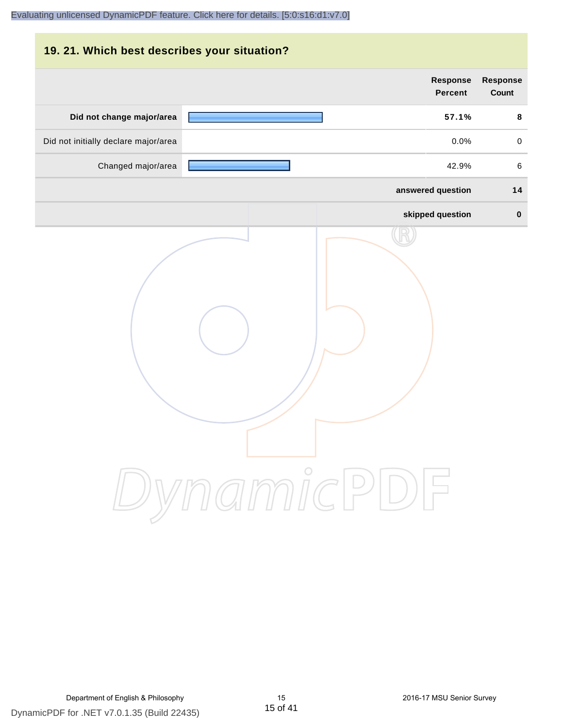#### **19. 21. Which best describes your situation?**

|                                      | <b>Response</b><br><b>Percent</b> | <b>Response</b><br>Count |
|--------------------------------------|-----------------------------------|--------------------------|
| Did not change major/area            | 57.1%                             | $\bf 8$                  |
| Did not initially declare major/area | 0.0%                              | $\mathsf{O}\xspace$      |
| Changed major/area                   | 42.9%                             | $\,6\,$                  |
|                                      | answered question                 | 14                       |
|                                      | skipped question                  | $\mathbf 0$              |
|                                      | ynamicPD                          |                          |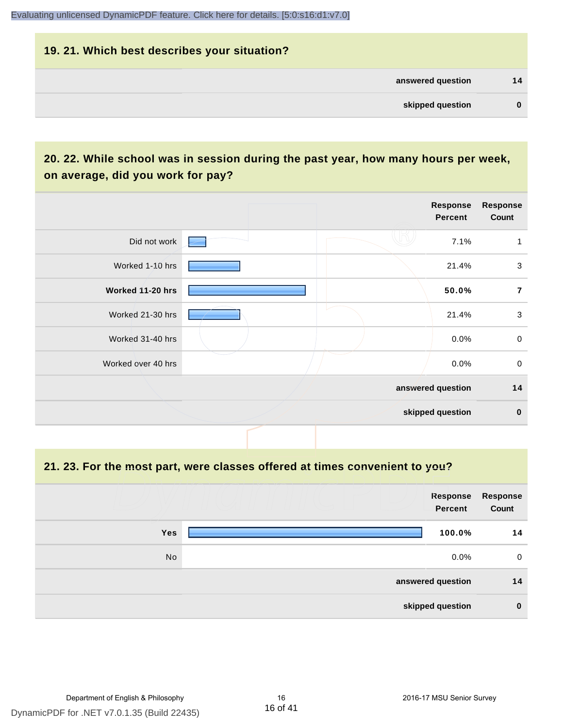#### **19. 21. Which best describes your situation?**

| answered question | 14 |
|-------------------|----|
| skipped question  | 0  |

## **20. 22. While school was in session during the past year, how many hours per week, on average, did you work for pay?**

|                    | Response<br>Percent | Response<br>Count       |
|--------------------|---------------------|-------------------------|
| Did not work       | 7.1%                |                         |
| Worked 1-10 hrs    | 21.4%               | $\mathbf{3}$            |
| Worked 11-20 hrs   | 50.0%               | $\overline{\mathbf{r}}$ |
| Worked 21-30 hrs   | 21.4%               | $\mathbf{3}$            |
| Worked 31-40 hrs   | $0.0\%$             | $\,0\,$                 |
| Worked over 40 hrs | $0.0\%$             | $\mathbf 0$             |
|                    | answered question   | 14                      |
|                    | skipped question    | $\mathbf 0$             |

**21. 23. For the most part, were classes offered at times convenient to you?**

|            | <b>Response</b><br><b>Percent</b> | Response<br>Count |
|------------|-----------------------------------|-------------------|
| <b>Yes</b> | 100.0%                            | 14                |
| No         | $0.0\%$                           | 0                 |
|            | answered question                 | 14                |
|            | skipped question                  | $\bf{0}$          |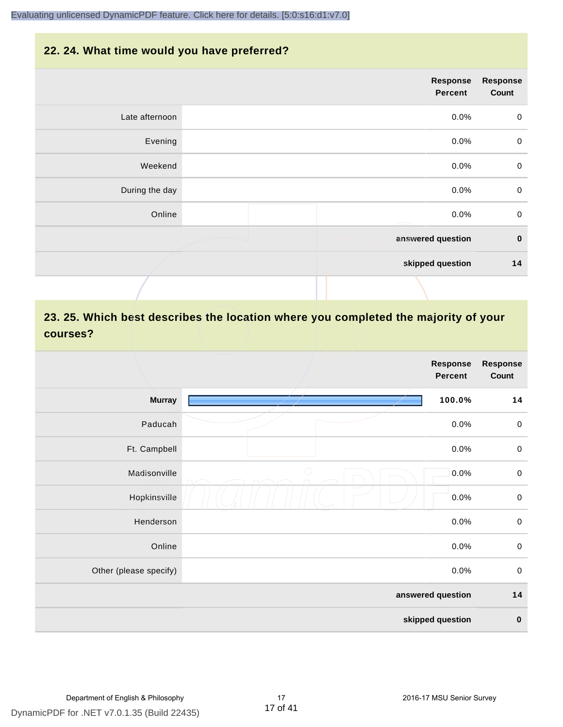#### **22. 24. What time would you have preferred?**

|                | <b>Response</b><br><b>Percent</b> | <b>Response</b><br>Count |
|----------------|-----------------------------------|--------------------------|
| Late afternoon | 0.0%                              | $\mathbf 0$              |
| Evening        | 0.0%                              | $\mathbf 0$              |
| Weekend        | 0.0%                              | $\boldsymbol{0}$         |
| During the day | 0.0%                              | $\mathbf 0$              |
| Online         | 0.0%<br>Æ                         | $\mathbf 0$              |
|                | answered question                 | $\mathbf 0$              |
|                | skipped question                  | 14                       |
|                |                                   |                          |

## **23. 25. Which best describes the location where you completed the majority of your courses?**

|                        |                   | <b>Response</b><br><b>Percent</b> | <b>Response</b><br>Count |
|------------------------|-------------------|-----------------------------------|--------------------------|
| <b>Murray</b>          |                   | 100.0%                            | 14                       |
| Paducah                |                   | 0.0%                              | $\mathbf 0$              |
| Ft. Campbell           |                   | 0.0%                              | $\mathbf 0$              |
| Madisonville           | $\bigcirc$        | 0.0%                              | $\boldsymbol{0}$         |
| Hopkinsville           |                   | 0.0%                              | $\boldsymbol{0}$         |
| Henderson              |                   | 0.0%                              | $\mathbf 0$              |
| Online                 |                   | 0.0%                              | $\boldsymbol{0}$         |
| Other (please specify) |                   | 0.0%                              | $\boldsymbol{0}$         |
|                        | answered question |                                   | $14$                     |
|                        | skipped question  |                                   | $\pmb{0}$                |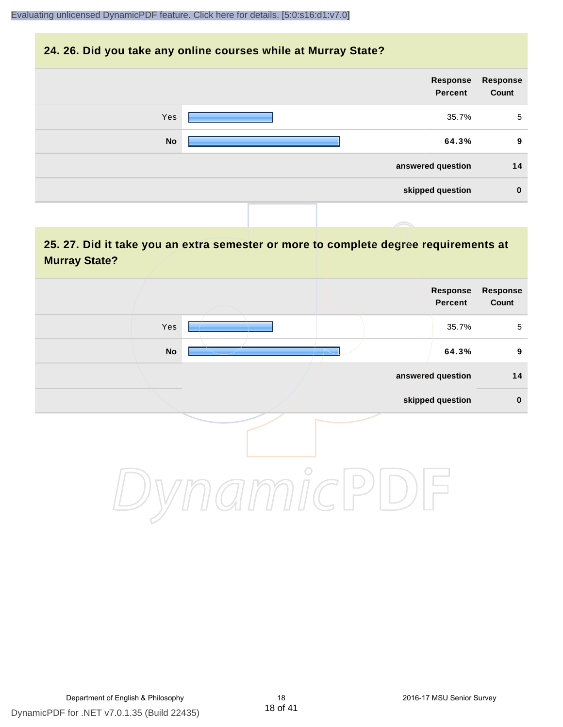#### **24. 26. Did you take any online courses while at Murray State?**

| Response<br><b>Percent</b> | Response<br>Count |
|----------------------------|-------------------|
| Yes<br>35.7%               | 5                 |
| <b>No</b><br>64.3%         | 9                 |
| answered question          | 14                |
| skipped question           | $\mathbf 0$       |
|                            |                   |

## **25. 27. Did it take you an extra semester or more to complete degree requirements at Murray State?**

| Response<br>Count | Response<br>Percent |            |                            |  |
|-------------------|---------------------|------------|----------------------------|--|
| $\sqrt{5}$        | 35.7%               |            | Yes                        |  |
| $\boldsymbol{9}$  | 64.3%               |            | $\mathop{\sf No}\nolimits$ |  |
| $14$              | answered question   |            |                            |  |
| $\pmb{0}$         | skipped question    |            |                            |  |
|                   |                     | $\bigcirc$ |                            |  |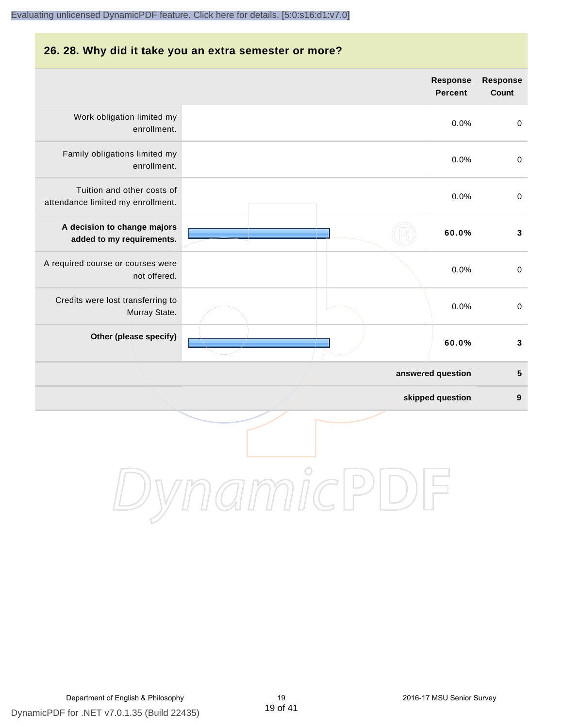#### **26. 28. Why did it take you an extra semester or more?**

|                                                                 | <b>Response</b><br><b>Percent</b> | <b>Response</b><br>Count |
|-----------------------------------------------------------------|-----------------------------------|--------------------------|
| Work obligation limited my<br>enrollment.                       | 0.0%                              | $\mathbf 0$              |
| Family obligations limited my<br>enrollment.                    | 0.0%                              | $\pmb{0}$                |
| Tuition and other costs of<br>attendance limited my enrollment. | 0.0%                              | $\mathsf 0$              |
| A decision to change majors<br>added to my requirements.        | 60.0%                             | $\mathbf{3}$             |
| A required course or courses were<br>not offered.               | 0.0%                              | $\mathbf 0$              |
| Credits were lost transferring to<br>Murray State.              | 0.0%                              | $\mathbf 0$              |
| Other (please specify)                                          | 60.0%                             | $\mathbf 3$              |
|                                                                 | answered question                 | $\overline{\mathbf{5}}$  |
|                                                                 | skipped question                  | $\boldsymbol{9}$         |
|                                                                 |                                   |                          |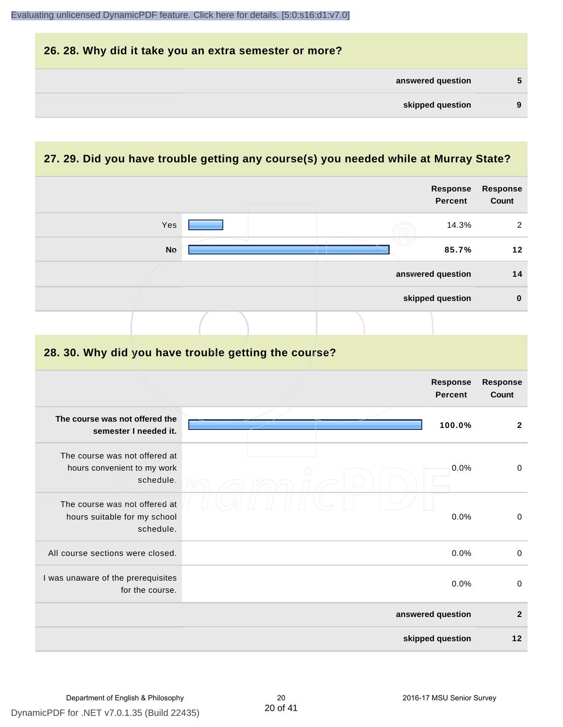| 26. 28. Why did it take you an extra semester or more? |   |
|--------------------------------------------------------|---|
| answered question                                      | 5 |
| skipped question                                       | 9 |
|                                                        |   |

## **27. 29. Did you have trouble getting any course(s) you needed while at Murray State?**

|                                                                            |  |  | <b>Response</b><br><b>Percent</b> | <b>Response</b><br>Count        |
|----------------------------------------------------------------------------|--|--|-----------------------------------|---------------------------------|
| Yes                                                                        |  |  | 14.3%                             | $\overline{2}$                  |
| <b>No</b>                                                                  |  |  | 85.7%                             | 12                              |
|                                                                            |  |  | answered question                 | 14                              |
|                                                                            |  |  | skipped question                  | $\mathbf 0$                     |
|                                                                            |  |  |                                   |                                 |
| 28. 30. Why did you have trouble getting the course?                       |  |  |                                   |                                 |
|                                                                            |  |  | <b>Response</b><br><b>Percent</b> | <b>Response</b><br><b>Count</b> |
| The course was not offered the<br>semester I needed it.                    |  |  | 100.0%                            | $\mathbf{2}$                    |
| The course was not offered at<br>hours convenient to my work<br>schedule.  |  |  | 0.0%                              | $\mathbf 0$                     |
| The course was not offered at<br>hours suitable for my school<br>schedule. |  |  | 0.0%                              | $\mathbf 0$                     |
| All course sections were closed.                                           |  |  | 0.0%                              | $\pmb{0}$                       |
| I was unaware of the prerequisites<br>for the course.                      |  |  | 0.0%                              | $\mathbf 0$                     |
|                                                                            |  |  | answered question                 | $\overline{2}$                  |
|                                                                            |  |  | skipped question                  | 12                              |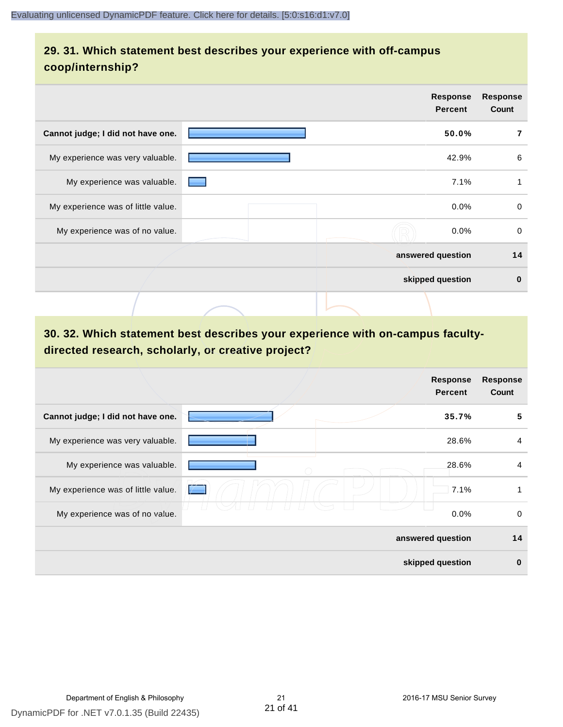## **29. 31. Which statement best describes your experience with off-campus coop/internship?**

|                                    | <b>Response</b><br><b>Percent</b> | <b>Response</b><br>Count |
|------------------------------------|-----------------------------------|--------------------------|
| Cannot judge; I did not have one.  | 50.0%                             | 7                        |
| My experience was very valuable.   | 42.9%                             | 6                        |
| My experience was valuable.        | 7.1%                              | 1                        |
| My experience was of little value. | $0.0\%$                           | 0                        |
| My experience was of no value.     | $0.0\%$                           | $\mathbf 0$              |
|                                    | answered question                 | 14                       |
|                                    | skipped question                  | $\bf{0}$                 |
|                                    |                                   |                          |

## **30. 32. Which statement best describes your experience with on-campus facultydirected research, scholarly, or creative project?**

|                                    | <b>Response</b><br><b>Percent</b> | <b>Response</b><br>Count |
|------------------------------------|-----------------------------------|--------------------------|
| Cannot judge; I did not have one.  | 35.7%                             | 5                        |
| My experience was very valuable.   | 28.6%                             | 4                        |
| My experience was valuable.        | 28.6%                             | 4                        |
| My experience was of little value. | 7.1%<br>$\sqrt{2}$                | 1                        |
| My experience was of no value.     | 0.0%                              | 0                        |
|                                    | answered question                 | 14                       |
|                                    | skipped question                  | $\bf{0}$                 |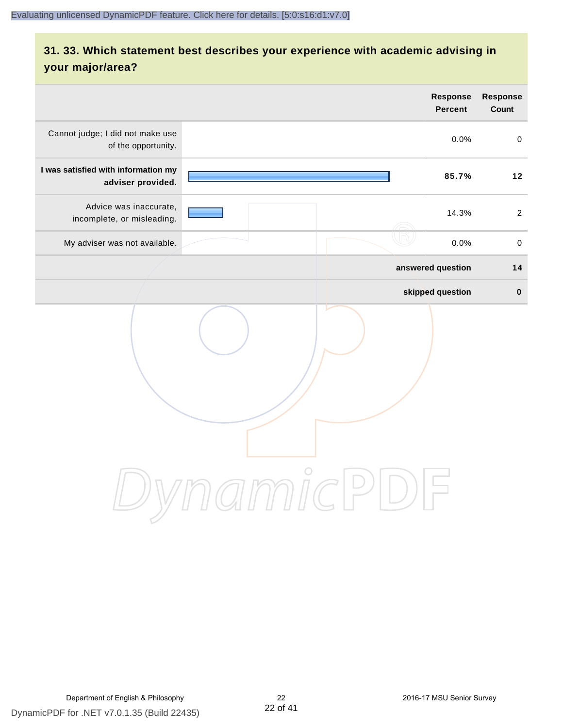## **31. 33. Which statement best describes your experience with academic advising in your major/area?**

|                                                          | <b>Response</b><br><b>Percent</b> | <b>Response</b><br>Count |
|----------------------------------------------------------|-----------------------------------|--------------------------|
| Cannot judge; I did not make use<br>of the opportunity.  | 0.0%                              | $\mathbf 0$              |
| I was satisfied with information my<br>adviser provided. | 85.7%                             | $12$                     |
| Advice was inaccurate,<br>incomplete, or misleading.     | 14.3%                             | 2                        |
| My adviser was not available.                            | 0.0%                              | $\pmb{0}$                |
|                                                          | answered question                 | 14                       |
|                                                          | skipped question                  | $\pmb{0}$                |
|                                                          | ammic<br>╰                        |                          |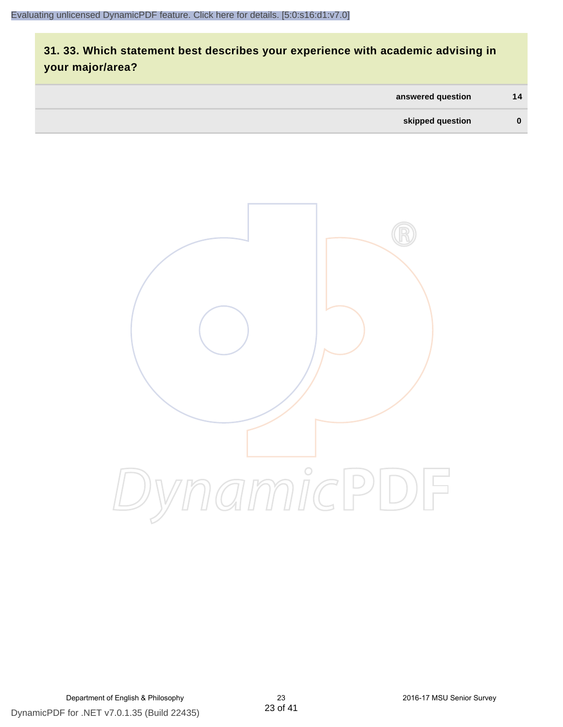## **31. 33. Which statement best describes your experience with academic advising in your major/area?**

| answered question | 14 |
|-------------------|----|
| skipped question  | 0  |

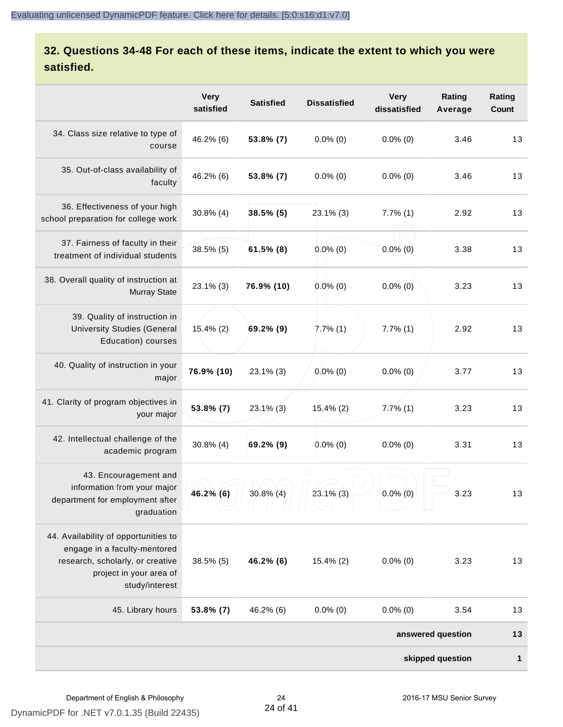## **32. Questions 34-48 For each of these items, indicate the extent to which you were satisfied.**

|                                                                                                                                                       | <b>Very</b><br>satisfied | <b>Satisfied</b> | <b>Dissatisfied</b> | <b>Very</b><br>dissatisfied | Rating<br>Average | Rating<br>Count |
|-------------------------------------------------------------------------------------------------------------------------------------------------------|--------------------------|------------------|---------------------|-----------------------------|-------------------|-----------------|
| 34. Class size relative to type of<br>course                                                                                                          | 46.2% (6)                | $53.8\%$ (7)     | $0.0\%$ (0)         | $0.0\%$ (0)                 | 3.46              | 13              |
| 35. Out-of-class availability of<br>faculty                                                                                                           | 46.2% (6)                | 53.8% (7)        | $0.0\%$ (0)         | $0.0\%$ (0)                 | 3.46              | 13              |
| 36. Effectiveness of your high<br>school preparation for college work                                                                                 | $30.8\%$ (4)             | $38.5\%$ (5)     | 23.1% (3)           | $7.7\%$ $(1)$               | 2.92              | 13              |
| 37. Fairness of faculty in their<br>treatment of individual students                                                                                  | 38.5% (5)                | $61.5\%$ (8)     | $0.0\%$ (0)         | $0.0\%$ (0)                 | 3.38              | 13              |
| 38. Overall quality of instruction at<br><b>Murray State</b>                                                                                          | $23.1\%$ (3)             | 76.9% (10)       | $0.0\%$ (0)         | $0.0\%$ (0)                 | 3.23              | 13              |
| 39. Quality of instruction in<br><b>University Studies (General</b><br>Education) courses                                                             | $15.4\%$ (2)             | 69.2% (9)        | ⊵<br>7.7%(1)        | $7.7\%$ $(1)$               | 2.92              | 13              |
| 40. Quality of instruction in your<br>major                                                                                                           | 76.9% (10)               | $23.1\%$ (3)     | $0.0\%$ (0)         | $0.0\%$ (0)                 | 3.77              | 13              |
| 41. Clarity of program objectives in<br>your major                                                                                                    | 53.8% (7)                | $23.1\%$ (3)     | $15.4\%$ (2)        | $7.7\%$ (1)                 | 3.23              | 13              |
| 42. Intellectual challenge of the<br>academic program                                                                                                 | $30.8\%$ (4)             | 69.2% (9)        | $0.0\%$ (0)         | $0.0\%$ (0)                 | 3.31              | 13              |
| 43. Encouragement and<br>information from your major<br>department for employment after<br>graduation                                                 | 46.2% (6)                | $30.8\%$ (4)     | $23.1\%$ (3)        | $0.0\%$ (0)                 | 3.23              | 13              |
| 44. Availability of opportunities to<br>engage in a faculty-mentored<br>research, scholarly, or creative<br>project in your area of<br>study/interest | $38.5\%$ (5)             | 46.2% (6)        | $15.4\%$ (2)        | $0.0\%$ (0)                 | 3.23              | 13              |
| 45. Library hours                                                                                                                                     | $53.8\%$ (7)             | 46.2% (6)        | $0.0\%$ (0)         | $0.0\%$ (0)                 | 3.54              | 13              |
|                                                                                                                                                       |                          |                  |                     |                             | answered question | 13              |
| skipped question                                                                                                                                      |                          |                  |                     |                             |                   |                 |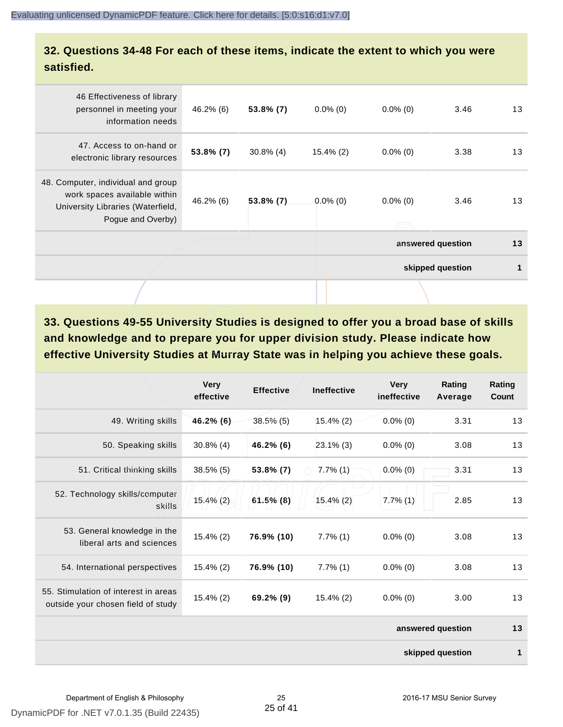#### **32. Questions 34-48 For each of these items, indicate the extent to which you were satisfied.**

| 46 Effectiveness of library<br>personnel in meeting your<br>information needs                                                | 46.2% (6) | $53.8\%$ (7) | $0.0\%$ (0)  | $0.0\%$ (0) | 3.46              | 13 |
|------------------------------------------------------------------------------------------------------------------------------|-----------|--------------|--------------|-------------|-------------------|----|
| 47. Access to on-hand or<br>electronic library resources                                                                     | 53.8% (7) | $30.8\%$ (4) | $15.4\%$ (2) | $0.0\%$ (0) | 3.38              | 13 |
| 48. Computer, individual and group<br>work spaces available within<br>University Libraries (Waterfield,<br>Pogue and Overby) | 46.2% (6) | $53.8\%$ (7) | $0.0\%$ (0)  | $0.0\%$ (0) | 3.46              | 13 |
|                                                                                                                              |           |              |              |             | answered question | 13 |
|                                                                                                                              |           |              |              |             | skipped question  | 1  |
|                                                                                                                              |           |              |              |             |                   |    |

**33. Questions 49-55 University Studies is designed to offer you a broad base of skills and knowledge and to prepare you for upper division study. Please indicate how effective University Studies at Murray State was in helping you achieve these goals.**

|                                                                            | <b>Very</b><br>effective | <b>Effective</b> | <b>Ineffective</b> | <b>Very</b><br>ineffective | <b>Rating</b><br>Average | Rating<br><b>Count</b> |
|----------------------------------------------------------------------------|--------------------------|------------------|--------------------|----------------------------|--------------------------|------------------------|
| 49. Writing skills                                                         | 46.2% (6)                | $38.5\%$ (5)     | $15.4\%$ (2)       | $0.0\%$ (0)                | 3.31                     | 13                     |
| 50. Speaking skills                                                        | $30.8\%$ (4)             | 46.2% (6)        | $23.1\%$ (3)       | $0.0\%$ (0)                | 3.08                     | 13                     |
| 51. Critical thinking skills                                               | $38.5\%$ (5)             | 53.8% (7)        | $7.7%$ (1)         | $0.0\%(0)$                 | 3.31                     | 13                     |
| 52. Technology skills/computer<br>skills                                   | $15.4\%$ (2)             | $61.5\%$ (8)     | $15.4\%$ (2)       | $7.7\%$ $(1)$              | 2.85                     | 13                     |
| 53. General knowledge in the<br>liberal arts and sciences                  | $15.4\%$ (2)             | 76.9% (10)       | $7.7\%$ (1)        | $0.0\%$ (0)                | 3.08                     | 13                     |
| 54. International perspectives                                             | $15.4\%$ (2)             | 76.9% (10)       | $7.7\%$ (1)        | $0.0\%$ (0)                | 3.08                     | 13                     |
| 55. Stimulation of interest in areas<br>outside your chosen field of study | $15.4\%$ (2)             | 69.2% (9)        | $15.4\%$ (2)       | $0.0\%$ (0)                | 3.00                     | 13                     |
|                                                                            |                          |                  |                    |                            | answered question        | 13                     |
|                                                                            |                          |                  |                    |                            | skipped question         | $\mathbf 1$            |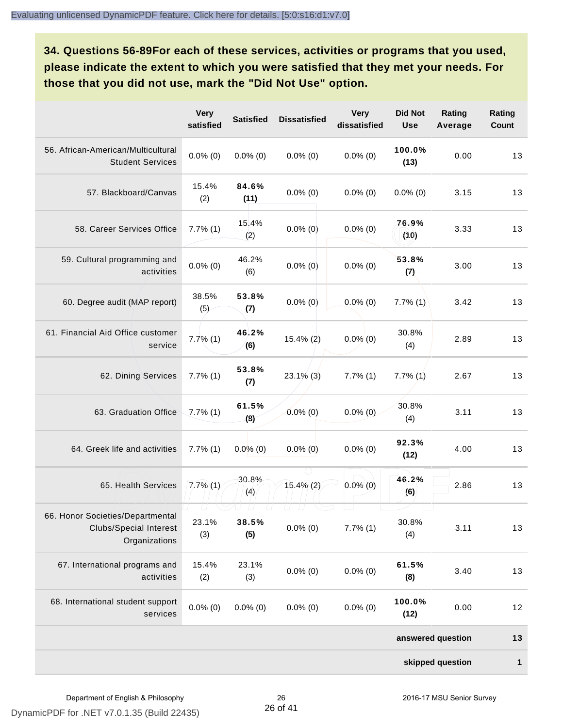**34. Questions 56-89For each of these services, activities or programs that you used, please indicate the extent to which you were satisfied that they met your needs. For those that you did not use, mark the "Did Not Use" option.**

|                                                                                    | <b>Very</b><br>satisfied | <b>Satisfied</b>                   | <b>Dissatisfied</b>               | <b>Very</b><br>dissatisfied | <b>Did Not</b><br><b>Use</b> | Rating<br>Average | Rating<br><b>Count</b> |
|------------------------------------------------------------------------------------|--------------------------|------------------------------------|-----------------------------------|-----------------------------|------------------------------|-------------------|------------------------|
| 56. African-American/Multicultural<br><b>Student Services</b>                      | $0.0\%$ (0)              | $0.0\%$ (0)                        | $0.0\%$ (0)                       | $0.0\%$ (0)                 | 100.0%<br>(13)               | 0.00              | 13                     |
| 57. Blackboard/Canvas                                                              | 15.4%<br>(2)             | 84.6%<br>(11)                      | $0.0\%$ (0)                       | $0.0\%$ (0)                 | $0.0\%$ (0)                  | 3.15              | 13                     |
| 58. Career Services Office                                                         | $7.7\%$ (1)              | 15.4%<br>(2)                       | $0.0\%$ (0)                       | $0.0\%$ (0)                 | 76.9%<br>(10)                | 3.33              | 13                     |
| 59. Cultural programming and<br>activities                                         | $0.0\%$ (0)              | 46.2%<br>(6)                       | $0.0\%$ (0)                       | $0.0\%$ (0)                 | 53.8%<br>(7)                 | 3.00              | 13                     |
| 60. Degree audit (MAP report)                                                      | 38.5%<br>(5)             | 53.8%<br>(7)                       | $0.0\%$ (0)                       | $0.0\%$ (0)                 | $7.7\%$ (1)                  | 3.42              | 13                     |
| 61. Financial Aid Office customer<br>service                                       | $7.7\%$ (1)              | 46.2%<br>(6)                       | $15.4\%$ (2)                      | $0.0\%$ (0)                 | 30.8%<br>(4)                 | 2.89              | 13                     |
| 62. Dining Services                                                                | $7.7\%$ (1)              | 53.8%<br>(7)                       | $23.1\%$ (3)                      | $7.7\%$ $(1)$               | $7.7\%$ (1)                  | 2.67              | 13                     |
| 63. Graduation Office                                                              | 7.7%(1)                  | 61.5%<br>(8)                       | $0.0\%$ (0)                       | $0.0\%$ (0)                 | 30.8%<br>(4)                 | 3.11              | 13                     |
| 64. Greek life and activities                                                      | $7.7\%$ $(1)$            | $0.0\%$ (0)                        | $0.0\%$ (0)                       | $0.0\%$ (0)                 | 92.3%<br>(12)                | 4.00              | 13                     |
| 65. Health Services                                                                | $7.7\%$ (1)              | 30.8%<br>(4)                       | 15.4% (2)                         | $0.0\%$ (0)                 | 46.2%<br>(6)                 | 2.86              | 13                     |
| 66. Honor Societies/Departmental<br><b>Clubs/Special Interest</b><br>Organizations | $\sqcup$<br>23.1%<br>(3) | $\Box$<br>$\sqcup$<br>38.5%<br>(5) | $\sqcup$<br>$\Box$<br>$0.0\%$ (0) | $7.7\%$ $(1)$               | 30.8%<br>(4)                 | 3.11              | 13                     |
| 67. International programs and<br>activities                                       | 15.4%<br>(2)             | 23.1%<br>(3)                       | $0.0\%$ (0)                       | $0.0\%$ (0)                 | 61.5%<br>(8)                 | 3.40              | 13                     |
| 68. International student support<br>services                                      | $0.0\%$ (0)              | $0.0\%$ (0)                        | $0.0\%$ (0)                       | $0.0\%$ (0)                 | 100.0%<br>(12)               | 0.00              | 12                     |
|                                                                                    |                          |                                    |                                   |                             |                              | answered question | 13                     |
| skipped question                                                                   |                          |                                    |                                   |                             |                              |                   |                        |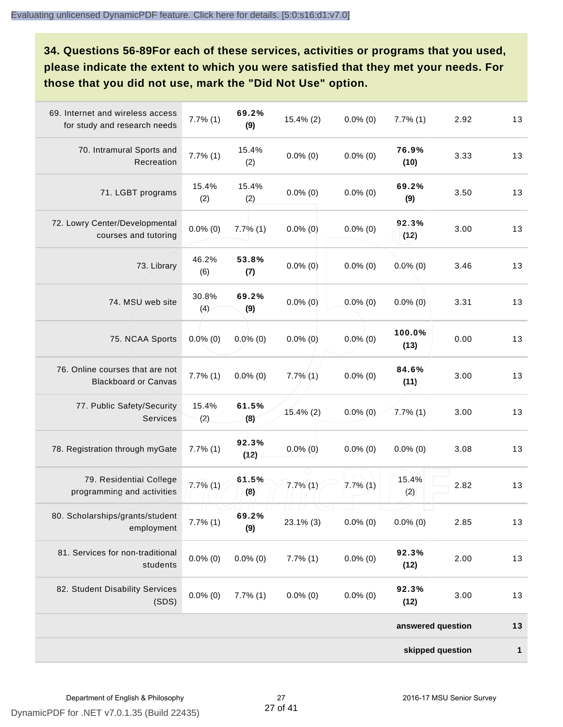**34. Questions 56-89For each of these services, activities or programs that you used, please indicate the extent to which you were satisfied that they met your needs. For those that you did not use, mark the "Did Not Use" option.**

| 69. Internet and wireless access<br>for study and research needs | $7.7\%$ $(1)$       | 69.2%<br>(9)  | 15.4% (2)                  | $0.0\%$ (0)   | 7.7%(1)           | 2.92             | 13           |
|------------------------------------------------------------------|---------------------|---------------|----------------------------|---------------|-------------------|------------------|--------------|
| 70. Intramural Sports and<br>Recreation                          | $7.7\%$ (1)         | 15.4%<br>(2)  | $0.0\%$ (0)                | $0.0\%$ (0)   | 76.9%<br>(10)     | 3.33             | 13           |
| 71. LGBT programs                                                | 15.4%<br>(2)        | 15.4%<br>(2)  | $0.0\%$ (0)                | $0.0\%$ (0)   | 69.2%<br>(9)      | 3.50             | 13           |
| 72. Lowry Center/Developmental<br>courses and tutoring           | $0.0\%$ (0)         | $7.7\%$ (1)   | $0.0\%$ (0)                | $0.0\%$ (0)   | 92.3%<br>(12)     | 3.00             | 13           |
| 73. Library                                                      | 46.2%<br>(6)        | 53.8%<br>(7)  | $0.0\%$ (0)                | $0.0\%$ (0)   | $0.0\%$ (0)       | 3.46             | 13           |
| 74. MSU web site                                                 | 30.8%<br>(4)        | 69.2%<br>(9)  | $0.0\%$ (0)                | $0.0\%$ (0)   | $0.0\%$ (0)       | 3.31             | 13           |
| 75. NCAA Sports                                                  | $0.0\%$ (0)         | $0.0\%$ (0)   | $0.0\%$ (0)                | $0.0\%$ (0)   | 100.0%<br>(13)    | 0.00             | 13           |
| 76. Online courses that are not<br><b>Blackboard or Canvas</b>   | $7.7\%$ $(1)$       | $0.0\%$ (0)   | $7.7\%$ $(1)$              | $0.0\%$ (0)   | 84.6%<br>(11)     | 3.00             | 13           |
| 77. Public Safety/Security<br>Services                           | 15.4%<br>(2)        | 61.5%<br>(8)  | $15.4\%$ (2)               | $0.0\%$ (0)   | 7.7%(1)           | 3.00             | 13           |
| 78. Registration through myGate                                  | 7.7%(1)             | 92.3%<br>(12) | $0.0\%$ (0)                | $0.0\%$ (0)   | $0.0\%$ (0)       | 3.08             | 13           |
| 79. Residential College<br>programming and activities            | $7.7\%$ (1)         | 61.5%<br>(8)  | $7.7\%$ (1)                | $7.7\%$ $(1)$ | 15.4%<br>(2)      | 2.82             | 13           |
| 80. Scholarships/grants/student<br>employment                    | $\sqcup$<br>7.7%(1) | 69.2%<br>(9)  | U.<br>$\perp$<br>23.1% (3) | $0.0\%$ (0)   | $0.0\%$ (0)       | 2.85             | 13           |
| 81. Services for non-traditional<br>students                     | $0.0\%$ (0)         | $0.0\%$ (0)   | $7.7\%$ (1)                | $0.0\%$ (0)   | 92.3%<br>(12)     | 2.00             | 13           |
| 82. Student Disability Services<br>(SDS)                         | $0.0\%$ (0)         | $7.7\%$ (1)   | $0.0\%$ (0)                | $0.0\%$ (0)   | 92.3%<br>(12)     | 3.00             | 13           |
|                                                                  |                     |               |                            |               | answered question |                  | 13           |
|                                                                  |                     |               |                            |               |                   | skipped question | $\mathbf{1}$ |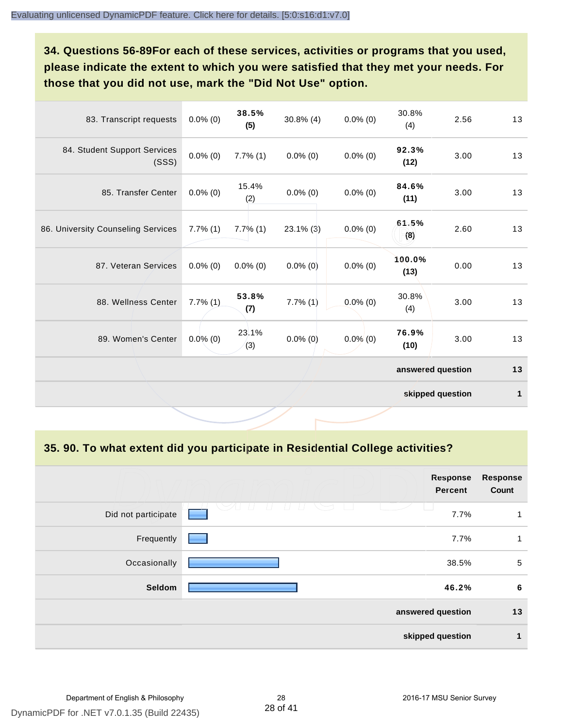**34. Questions 56-89For each of these services, activities or programs that you used, please indicate the extent to which you were satisfied that they met your needs. For those that you did not use, mark the "Did Not Use" option.**

| 83. Transcript requests               | $0.0\%$ (0) | 38.5%<br>(5) | $30.8\%$ (4) | $0.0\%$ (0) | 30.8%<br>(4)      | 2.56             | 13 |
|---------------------------------------|-------------|--------------|--------------|-------------|-------------------|------------------|----|
| 84. Student Support Services<br>(SSS) | $0.0\%$ (0) | $7.7\%$ (1)  | $0.0\%$ (0)  | $0.0\%$ (0) | 92.3%<br>(12)     | 3.00             | 13 |
| 85. Transfer Center                   | $0.0\%$ (0) | 15.4%<br>(2) | $0.0\%$ (0)  | $0.0\%$ (0) | 84.6%<br>(11)     | 3.00             | 13 |
| 86. University Counseling Services    | $7.7\%$ (1) | $7.7\%$ (1)  | $23.1\%$ (3) | $0.0\%$ (0) | 61.5%<br>(8)      | 2.60             | 13 |
| 87. Veteran Services                  | $0.0\%$ (0) | $0.0\%$ (0)  | $0.0\%$ (0)  | $0.0\%$ (0) | 100.0%<br>(13)    | 0.00             | 13 |
| 88. Wellness Center                   | $7.7\%$ (1) | 53.8%<br>(7) | 7.7%(1)      | $0.0\%$ (0) | 30.8%<br>(4)      | 3.00             | 13 |
| 89. Women's Center                    | $0.0\%$ (0) | 23.1%<br>(3) | $0.0\%$ (0)  | $0.0\%$ (0) | 76.9%<br>(10)     | 3.00             | 13 |
|                                       |             |              |              |             | answered question |                  | 13 |
|                                       |             |              |              |             |                   | skipped question | 1  |

**35. 90. To what extent did you participate in Residential College activities?**

|                     | <b>Response</b><br><b>Percent</b> | <b>Response</b><br>Count |
|---------------------|-----------------------------------|--------------------------|
| Did not participate | $\sim$ $\sim$ $\sim$<br>7.7%      | 1                        |
| Frequently          | 7.7%                              | 1                        |
| Occasionally        | 38.5%                             | $\sqrt{5}$               |
| Seldom              | 46.2%                             | 6                        |
|                     | answered question                 | 13                       |
|                     | skipped question                  | 1                        |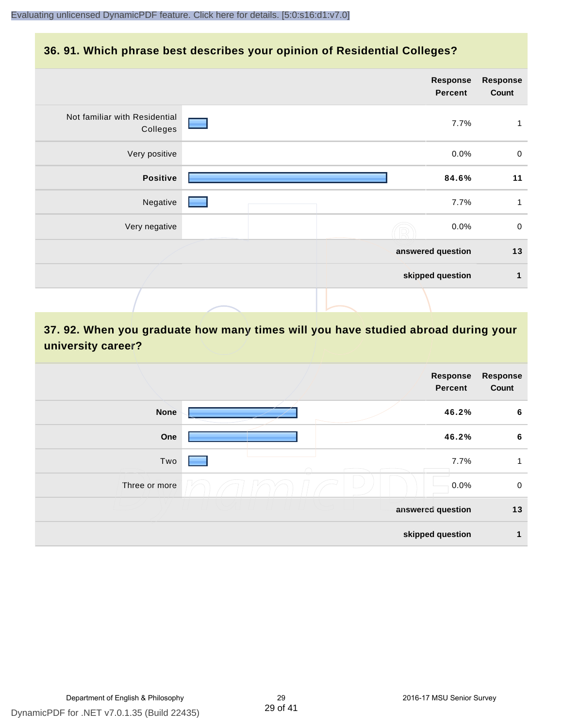#### **36. 91. Which phrase best describes your opinion of Residential Colleges?**

|                                           | <b>Response</b><br><b>Percent</b>    | <b>Response</b><br>Count |
|-------------------------------------------|--------------------------------------|--------------------------|
| Not familiar with Residential<br>Colleges | 7.7%<br>$\qquad \qquad \blacksquare$ | 1                        |
| Very positive                             | $0.0\%$                              | $\mathbf 0$              |
| <b>Positive</b>                           | 84.6%                                | 11                       |
| Negative                                  | 7.7%                                 | 1                        |
| Very negative                             | 0.0%                                 | $\mathbf 0$              |
|                                           | answered question                    | 13                       |
|                                           | skipped question                     | 1                        |
|                                           |                                      |                          |

## **37. 92. When you graduate how many times will you have studied abroad during your university career?**

|               | Response<br><b>Percent</b> | <b>Response</b><br>Count |
|---------------|----------------------------|--------------------------|
| <b>None</b>   | 46.2%                      | $6\phantom{1}6$          |
| One           | 46.2%                      | $6\phantom{1}6$          |
| Two           | 7.7%                       | 1                        |
| Three or more | 0.0%                       | $\mathbf 0$              |
|               | answered question          | 13                       |
|               | skipped question           | 1                        |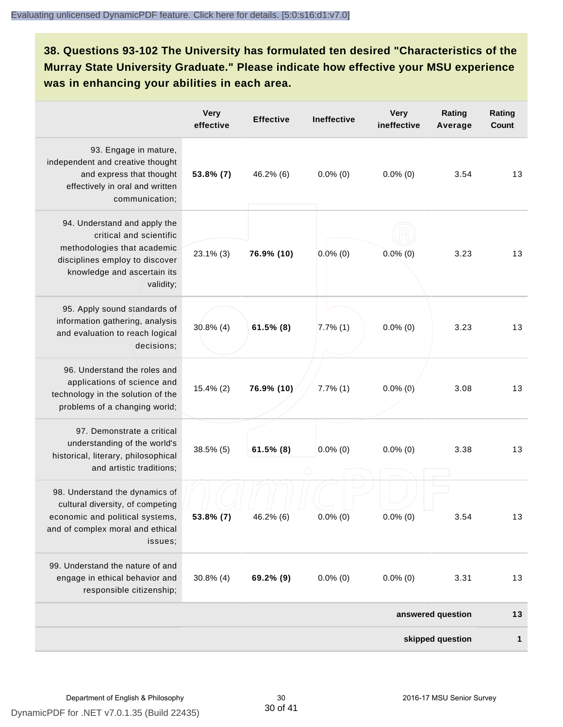**38. Questions 93-102 The University has formulated ten desired "Characteristics of the Murray State University Graduate." Please indicate how effective your MSU experience was in enhancing your abilities in each area.**

|                                                                                                                                                                      | <b>Very</b><br>effective | <b>Effective</b> | <b>Ineffective</b> | <b>Very</b><br>ineffective | Rating<br>Average | Rating<br><b>Count</b> |  |
|----------------------------------------------------------------------------------------------------------------------------------------------------------------------|--------------------------|------------------|--------------------|----------------------------|-------------------|------------------------|--|
| 93. Engage in mature,<br>independent and creative thought<br>and express that thought<br>effectively in oral and written<br>communication;                           | 53.8% (7)                | 46.2% (6)        | $0.0\%$ (0)        | $0.0\%$ (0)                | 3.54              | 13                     |  |
| 94. Understand and apply the<br>critical and scientific<br>methodologies that academic<br>disciplines employ to discover<br>knowledge and ascertain its<br>validity; | $23.1\%$ (3)             | 76.9% (10)       | $0.0\%$ (0)        | $0.0\%$ (0)                | 3.23              | 13                     |  |
| 95. Apply sound standards of<br>information gathering, analysis<br>and evaluation to reach logical<br>decisions;                                                     | $30.8\%$ (4)             | $61.5\%$ (8)     | $7.7\%$ (1)        | $0.0\%$ (0)                | 3.23              | 13                     |  |
| 96. Understand the roles and<br>applications of science and<br>technology in the solution of the<br>problems of a changing world;                                    | $15.4\%$ (2)             | 76.9% (10)       | $7.7\%$ $(1)$      | $0.0\%$ (0)                | 3.08              | 13                     |  |
| 97. Demonstrate a critical<br>understanding of the world's<br>historical, literary, philosophical<br>and artistic traditions;                                        | $38.5\%$ (5)             | $61.5\%$ (8)     | $0.0\%$ (0)        | $0.0\%$ (0)                | 3.38              | 13                     |  |
| 98. Understand the dynamics of<br>cultural diversity, of competing<br>economic and political systems,<br>and of complex moral and ethical<br>issues;                 | 53.8% (7)                | 46.2% (6)        | $0.0\%$ (0)        | $0.0\%$ (0)                | 3.54              | 13                     |  |
| 99. Understand the nature of and<br>engage in ethical behavior and<br>responsible citizenship;                                                                       | $30.8\%$ (4)             | 69.2% (9)        | $0.0\%$ (0)        | $0.0\%$ (0)                | 3.31              | 13                     |  |
|                                                                                                                                                                      |                          |                  |                    |                            | answered question | 13                     |  |
| skipped question                                                                                                                                                     |                          |                  |                    |                            |                   |                        |  |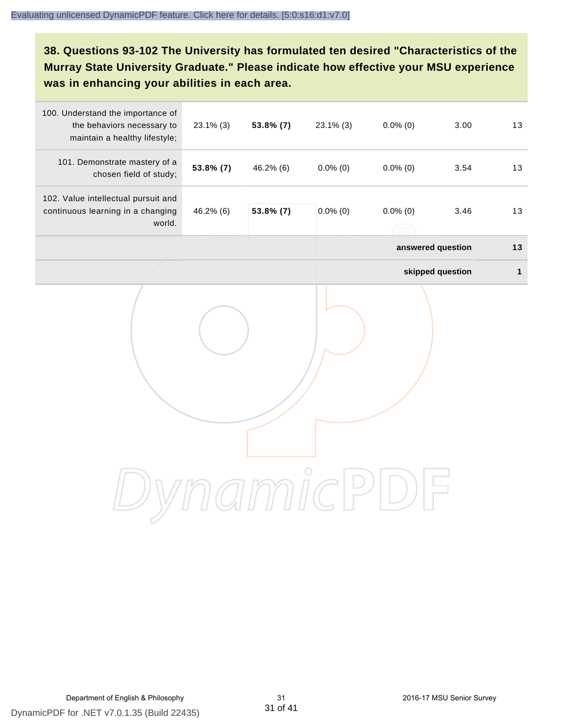**38. Questions 93-102 The University has formulated ten desired "Characteristics of the Murray State University Graduate." Please indicate how effective your MSU experience was in enhancing your abilities in each area.**

| 100. Understand the importance of<br>the behaviors necessary to<br>maintain a healthy lifestyle; | $23.1\%$ (3) | 53.8% (7) | $23.1\%$ (3) | $0.0\%$ (0)       | 3.00             | 13           |
|--------------------------------------------------------------------------------------------------|--------------|-----------|--------------|-------------------|------------------|--------------|
| 101. Demonstrate mastery of a<br>chosen field of study;                                          | 53.8% (7)    | 46.2% (6) | $0.0\%$ (0)  | $0.0\%$ (0)       | 3.54             | 13           |
| 102. Value intellectual pursuit and<br>continuous learning in a changing<br>world.               | 46.2% (6)    | 53.8% (7) | $0.0\%$ (0)  | $0.0\%$ (0)       | 3.46             | 13           |
|                                                                                                  |              |           |              | answered question |                  | 13           |
|                                                                                                  |              |           |              |                   | skipped question | $\mathbf{1}$ |
|                                                                                                  |              |           |              |                   |                  |              |
|                                                                                                  |              |           |              |                   |                  |              |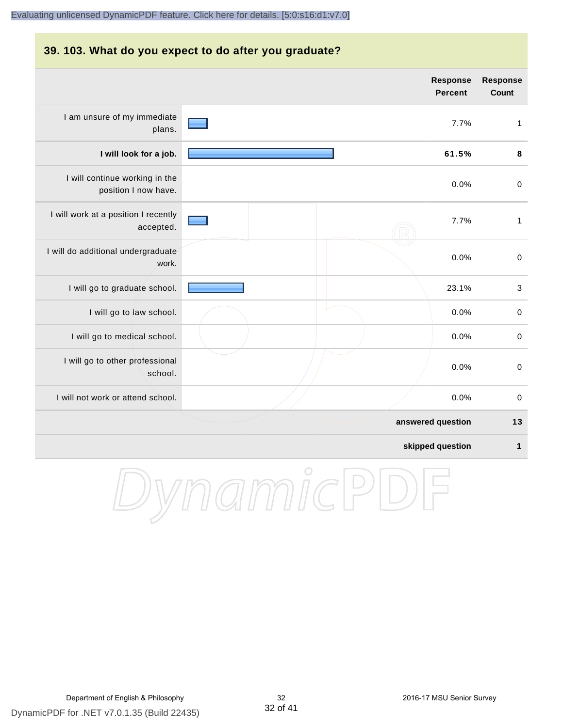#### **39. 103. What do you expect to do after you graduate?**

|                                                        | <b>Response</b><br><b>Percent</b> | <b>Response</b><br><b>Count</b> |
|--------------------------------------------------------|-----------------------------------|---------------------------------|
| I am unsure of my immediate<br>plans.                  | 7.7%                              | 1                               |
| I will look for a job.                                 | 61.5%                             | $\bf8$                          |
| I will continue working in the<br>position I now have. | 0.0%                              | $\mathbf 0$                     |
| I will work at a position I recently<br>accepted.      | 7.7%                              | $\mathbf{1}$                    |
| I will do additional undergraduate<br>work.            | 0.0%                              | $\mathbf 0$                     |
| I will go to graduate school.                          | 23.1%                             | $\sqrt{3}$                      |
| I will go to law school.                               | 0.0%                              | $\mathbf 0$                     |
| I will go to medical school.                           | 0.0%                              | $\mathbf 0$                     |
| I will go to other professional<br>school.             | 0.0%                              | $\pmb{0}$                       |
| I will not work or attend school.                      | 0.0%                              | $\mathbf 0$                     |
|                                                        | answered question                 | 13                              |
|                                                        | skipped question                  | $\mathbf 1$                     |

DynamicPDF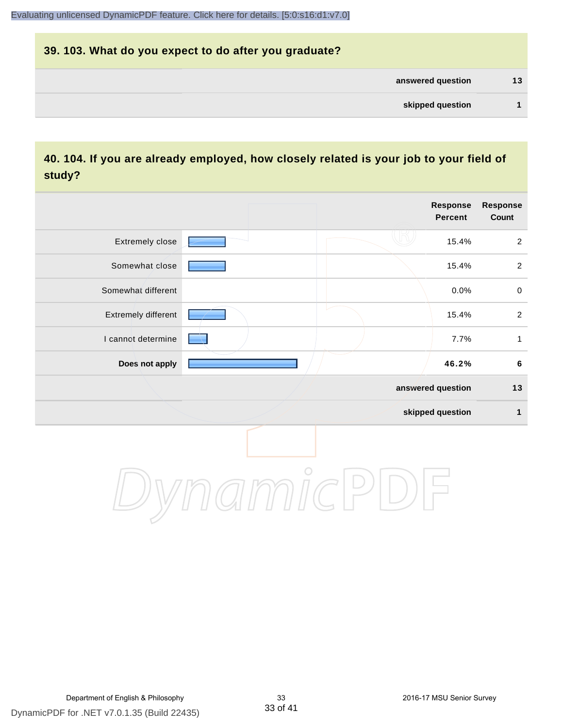# **39. 103. What do you expect to do after you graduate? answered question 13 skipped question 1**

## **40. 104. If you are already employed, how closely related is your job to your field of study?**

|                     |         | <b>Response</b><br>Percent | <b>Response</b><br>Count |
|---------------------|---------|----------------------------|--------------------------|
| Extremely close     |         | 15.4%                      | $\overline{2}$           |
| Somewhat close      |         | 15.4%                      | $\overline{2}$           |
| Somewhat different  |         | 0.0%                       | $\mathbf 0$              |
| Extremely different |         | 15.4%                      | $\overline{2}$           |
| I cannot determine  |         | 7.7%                       | $\mathbf{1}$             |
| Does not apply      |         | 46.2%                      | $\bf 6$                  |
|                     |         | answered question          | $13$                     |
|                     |         | skipped question           | $\mathbf{1}$             |
|                     | $\circ$ |                            |                          |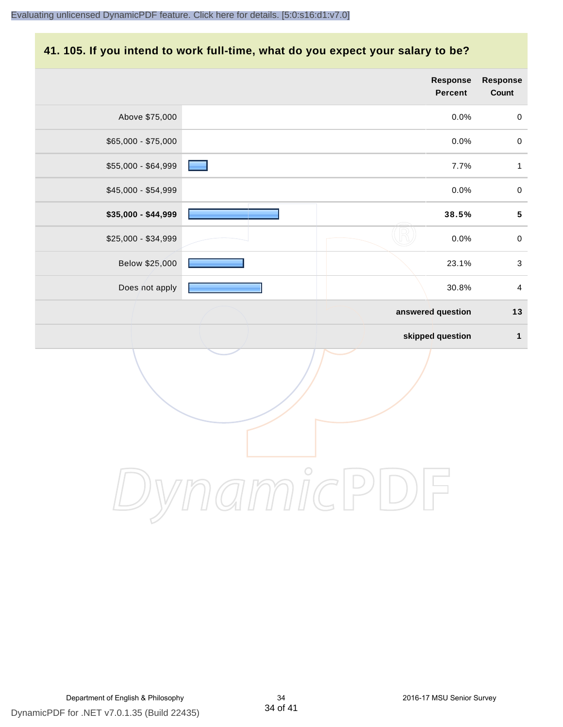## **41. 105. If you intend to work full-time, what do you expect your salary to be?**

|                     |         | Response<br><b>Percent</b> | Response<br>Count         |
|---------------------|---------|----------------------------|---------------------------|
| Above \$75,000      |         | 0.0%                       | $\pmb{0}$                 |
| \$65,000 - \$75,000 |         | 0.0%                       | $\mathbf 0$               |
| \$55,000 - \$64,999 |         | 7.7%                       | $\mathbf{1}$              |
| \$45,000 - \$54,999 |         | 0.0%                       | $\pmb{0}$                 |
| \$35,000 - \$44,999 |         | 38.5%                      | $\overline{\mathbf{5}}$   |
| \$25,000 - \$34,999 |         | 0.0%                       | $\pmb{0}$                 |
| Below \$25,000      |         | 23.1%                      | $\ensuremath{\mathsf{3}}$ |
| Does not apply      |         | 30.8%                      | $\overline{\mathbf{4}}$   |
|                     |         | answered question          | $13$                      |
|                     |         | skipped question           | $\mathbf{1}$              |
|                     |         |                            |                           |
|                     | $\circ$ |                            |                           |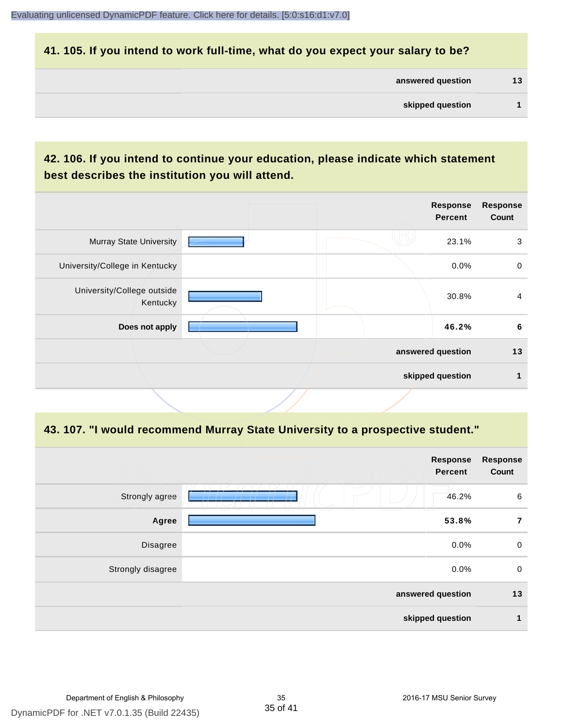#### **41. 105. If you intend to work full-time, what do you expect your salary to be?**

| answered question | 13 |
|-------------------|----|
| skipped question  |    |

## **42. 106. If you intend to continue your education, please indicate which statement best describes the institution you will attend.**

|                                        |  | <b>Response</b><br><b>Percent</b> | <b>Response</b><br>Count |
|----------------------------------------|--|-----------------------------------|--------------------------|
| <b>Murray State University</b>         |  | 23.1%                             | 3                        |
| University/College in Kentucky         |  | 0.0%                              | $\mathbf 0$              |
| University/College outside<br>Kentucky |  | 30.8%                             | $\overline{4}$           |
| Does not apply                         |  | 46.2%                             | 6                        |
|                                        |  | answered question                 | 13                       |
|                                        |  | skipped question                  | 1                        |
|                                        |  |                                   |                          |

#### **43. 107. "I would recommend Murray State University to a prospective student."**

|                   | <b>Response</b><br><b>Percent</b> | <b>Response</b><br>Count |
|-------------------|-----------------------------------|--------------------------|
| Strongly agree    | $\overline{\phantom{a}}$<br>46.2% | 6                        |
| Agree             | 53.8%                             | 7                        |
| Disagree          | 0.0%                              | $\pmb{0}$                |
| Strongly disagree | 0.0%                              | $\pmb{0}$                |
|                   | answered question                 | 13                       |
|                   | skipped question                  | $\mathbf 1$              |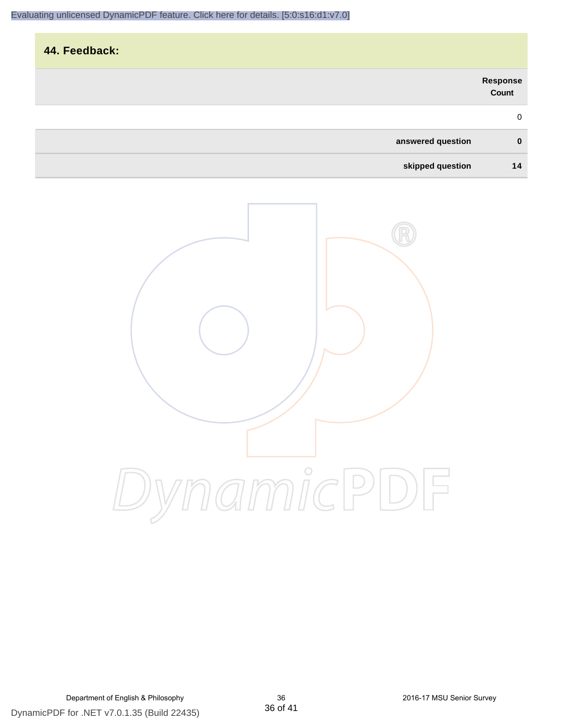| 44. Feedback:     |                   |
|-------------------|-------------------|
|                   | Response<br>Count |
|                   | 0                 |
| answered question | $\mathbf 0$       |
| skipped question  | 14                |

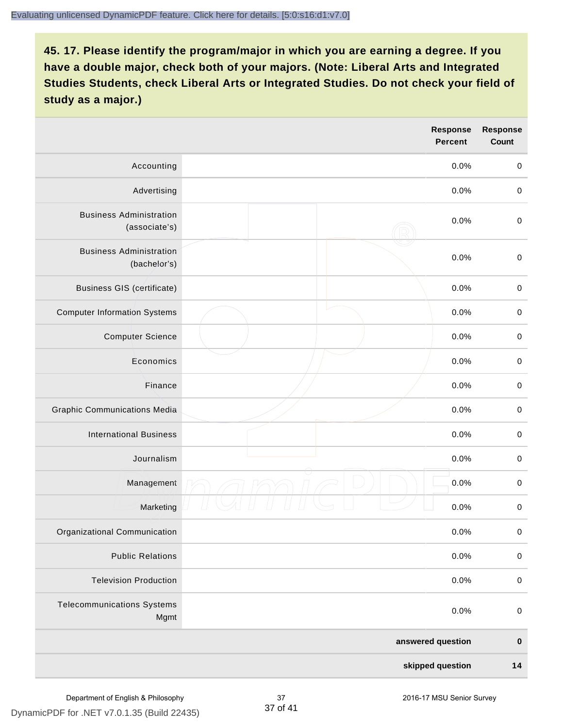|                                                 | <b>Response</b><br><b>Percent</b> | <b>Response</b><br>Count |
|-------------------------------------------------|-----------------------------------|--------------------------|
| Accounting                                      | 0.0%                              | $\pmb{0}$                |
| Advertising                                     | 0.0%                              | $\mathbf 0$              |
| <b>Business Administration</b><br>(associate's) | 0.0%                              | $\mathbf 0$              |
| <b>Business Administration</b><br>(bachelor's)  | 0.0%                              | $\pmb{0}$                |
| <b>Business GIS (certificate)</b>               | 0.0%                              | $\mathbf 0$              |
| <b>Computer Information Systems</b>             | 0.0%                              | $\pmb{0}$                |
| <b>Computer Science</b>                         | 0.0%                              | $\pmb{0}$                |
| Economics                                       | 0.0%                              | $\mathbf 0$              |
| Finance                                         | 0.0%                              | $\pmb{0}$                |
| <b>Graphic Communications Media</b>             | 0.0%                              | $\mathbf 0$              |
| <b>International Business</b>                   | 0.0%                              | $\pmb{0}$                |
| Journalism                                      | 0.0%                              | $\pmb{0}$                |
| Management                                      | 0.0%                              | $\,0\,$                  |
| Marketing                                       | 0.0%                              | $\mathbf 0$              |
| Organizational Communication                    | 0.0%                              | $\pmb{0}$                |
| <b>Public Relations</b>                         | 0.0%                              | $\pmb{0}$                |
| <b>Television Production</b>                    | 0.0%                              | $\mathbf 0$              |
| <b>Telecommunications Systems</b><br>Mgmt       | 0.0%                              | $\pmb{0}$                |
|                                                 | answered question                 | $\pmb{0}$                |
|                                                 | skipped question                  | $14$                     |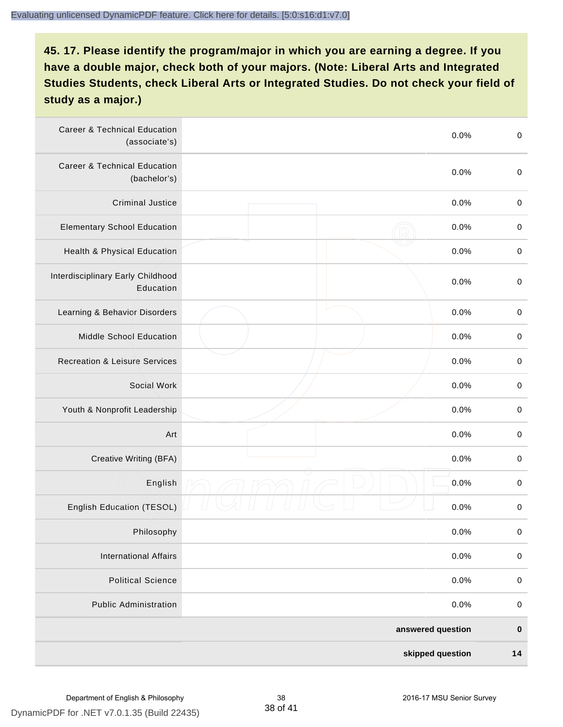| <b>Career &amp; Technical Education</b><br>(associate's) | 0.0%              | $\boldsymbol{0}$ |
|----------------------------------------------------------|-------------------|------------------|
| <b>Career &amp; Technical Education</b><br>(bachelor's)  | 0.0%              | $\boldsymbol{0}$ |
| <b>Criminal Justice</b>                                  | 0.0%              | $\boldsymbol{0}$ |
| <b>Elementary School Education</b>                       | 0.0%              | $\boldsymbol{0}$ |
| <b>Health &amp; Physical Education</b>                   | 0.0%              | $\pmb{0}$        |
| Interdisciplinary Early Childhood<br>Education           | 0.0%              | $\boldsymbol{0}$ |
| Learning & Behavior Disorders                            | 0.0%              | $\boldsymbol{0}$ |
| Middle School Education                                  | 0.0%              | $\pmb{0}$        |
| <b>Recreation &amp; Leisure Services</b>                 | 0.0%              | $\pmb{0}$        |
| Social Work                                              | 0.0%              | $\pmb{0}$        |
| Youth & Nonprofit Leadership                             | 0.0%              | $\boldsymbol{0}$ |
| Art                                                      | 0.0%              | $\pmb{0}$        |
| Creative Writing (BFA)                                   | 0.0%              | $\boldsymbol{0}$ |
| English                                                  | 0.0%              | $\pmb{0}$        |
| <b>English Education (TESOL)</b>                         | 0.0%              | $\pmb{0}$        |
| Philosophy                                               | 0.0%              | 0                |
| <b>International Affairs</b>                             | 0.0%              | $\pmb{0}$        |
| <b>Political Science</b>                                 | 0.0%              | $\pmb{0}$        |
| <b>Public Administration</b>                             | 0.0%              | $\pmb{0}$        |
|                                                          | answered question | $\pmb{0}$        |
|                                                          | skipped question  | 14               |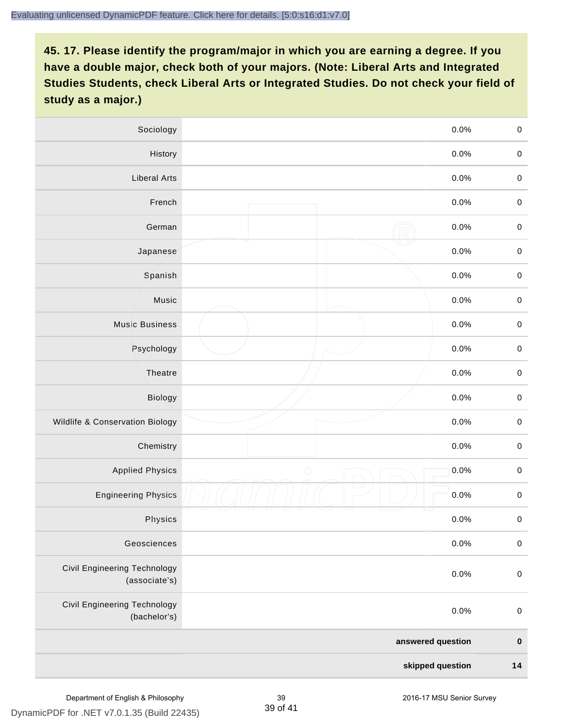| Sociology                                     | 0.0%               | $\mathbf 0$      |
|-----------------------------------------------|--------------------|------------------|
| History                                       | 0.0%               | $\mathbf 0$      |
| <b>Liberal Arts</b>                           | 0.0%               | $\mathbf 0$      |
| French                                        | 0.0%               | $\mathbf 0$      |
| German                                        | 0.0%               | $\pmb{0}$        |
| Japanese                                      | 0.0%               | $\mathbf 0$      |
| Spanish                                       | 0.0%               | $\mathbf 0$      |
| Music                                         | 0.0%               | $\mathbf 0$      |
| Music Business                                | 0.0%               | $\pmb{0}$        |
| Psychology                                    | 0.0%               | $\mathbf 0$      |
| Theatre                                       | 0.0%               | $\pmb{0}$        |
| Biology                                       | 0.0%               | $\mbox{O}$       |
| Wildlife & Conservation Biology               | 0.0%               | $\mathbf 0$      |
| Chemistry                                     | 0.0%               | $\mathbf 0$      |
| <b>Applied Physics</b>                        | $\bigcirc$<br>0.0% | $\boldsymbol{0}$ |
| <b>Engineering Physics</b>                    | 0.0%               | $\mathbf 0$      |
| Physics                                       | 0.0%               | $\mathbf 0$      |
| Geosciences                                   | 0.0%               | $\pmb{0}$        |
| Civil Engineering Technology<br>(associate's) | 0.0%               | $\pmb{0}$        |
| Civil Engineering Technology<br>(bachelor's)  | 0.0%               | $\pmb{0}$        |
|                                               | answered question  | $\pmb{0}$        |
|                                               | skipped question   | $14$             |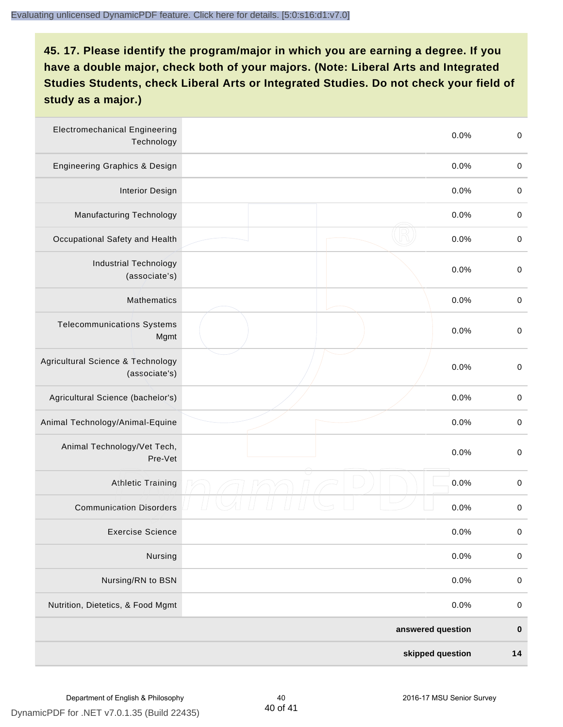| <b>Electromechanical Engineering</b><br>Technology | 0.0%              | $\boldsymbol{0}$ |
|----------------------------------------------------|-------------------|------------------|
| Engineering Graphics & Design                      | 0.0%              | $\pmb{0}$        |
| <b>Interior Design</b>                             | 0.0%              | $\boldsymbol{0}$ |
| Manufacturing Technology                           | 0.0%              | $\,0\,$          |
| Occupational Safety and Health                     | 0.0%              | $\boldsymbol{0}$ |
| <b>Industrial Technology</b><br>(associate's)      | 0.0%              | $\,0\,$          |
| Mathematics                                        | 0.0%              | $\pmb{0}$        |
| <b>Telecommunications Systems</b><br>Mgmt          | 0.0%              | $\boldsymbol{0}$ |
| Agricultural Science & Technology<br>(associate's) | 0.0%              | $\boldsymbol{0}$ |
| Agricultural Science (bachelor's)                  | 0.0%              | $\boldsymbol{0}$ |
| Animal Technology/Animal-Equine                    | 0.0%              | $\boldsymbol{0}$ |
| Animal Technology/Vet Tech,<br>Pre-Vet             | 0.0%              | $\boldsymbol{0}$ |
| <b>Athletic Training</b>                           | 0.0%              | $\boldsymbol{0}$ |
| <b>Communication Disorders</b>                     | 0.0%              | $\boldsymbol{0}$ |
| <b>Exercise Science</b>                            | 0.0%              | $\pmb{0}$        |
| Nursing                                            | 0.0%              | $\pmb{0}$        |
| Nursing/RN to BSN                                  | 0.0%              | $\boldsymbol{0}$ |
| Nutrition, Dietetics, & Food Mgmt                  | 0.0%              | $\boldsymbol{0}$ |
|                                                    | answered question | $\pmb{0}$        |
|                                                    | skipped question  | 14               |